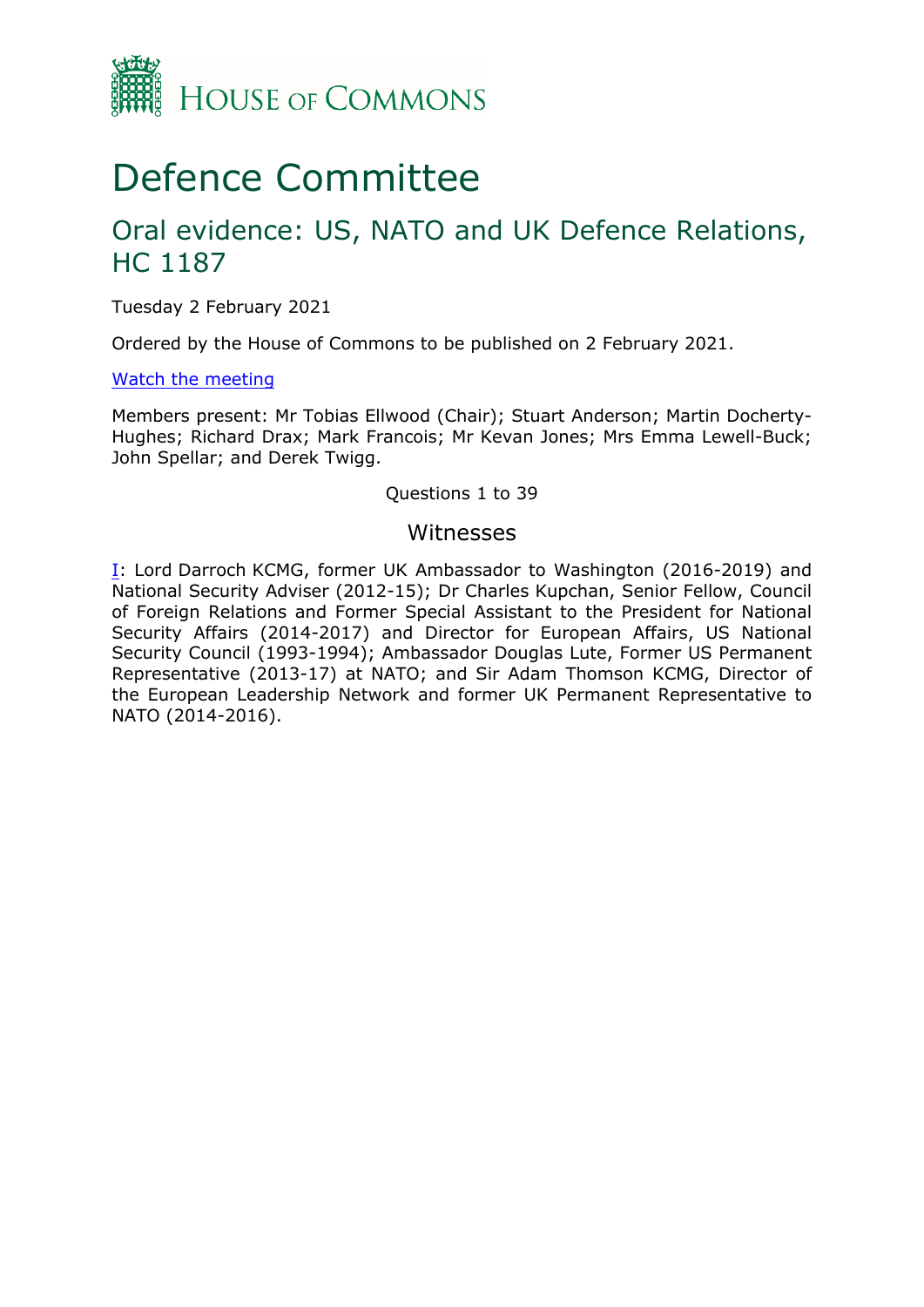

# Defence Committee

## Oral evidence: US, NATO and UK Defence Relations, HC 1187

Tuesday 2 February 2021

Ordered by the House of Commons to be published on 2 February 2021.

#### [Watch](https://parliamentlive.tv/Event/Index/a57f1700-8a4f-4476-876d-7f1c75178ff4) [the](https://parliamentlive.tv/Event/Index/a57f1700-8a4f-4476-876d-7f1c75178ff4) [meeting](https://parliamentlive.tv/Event/Index/a57f1700-8a4f-4476-876d-7f1c75178ff4)

Members present: Mr Tobias Ellwood (Chair); Stuart Anderson; Martin Docherty-Hughes; Richard Drax; Mark Francois; Mr Kevan Jones; Mrs Emma Lewell-Buck; John Spellar; and Derek Twigg.

#### Questions 1 to 39

#### Witnesses

[I:](#page-1-0) Lord Darroch KCMG, former UK Ambassador to Washington (2016-2019) and National Security Adviser (2012-15); Dr Charles Kupchan, Senior Fellow, Council of Foreign Relations and Former Special Assistant to the President for National Security Affairs (2014-2017) and Director for European Affairs, US National Security Council (1993-1994); Ambassador Douglas Lute, Former US Permanent Representative (2013-17) at NATO; and Sir Adam Thomson KCMG, Director of the European Leadership Network and former UK Permanent Representative to NATO (2014-2016).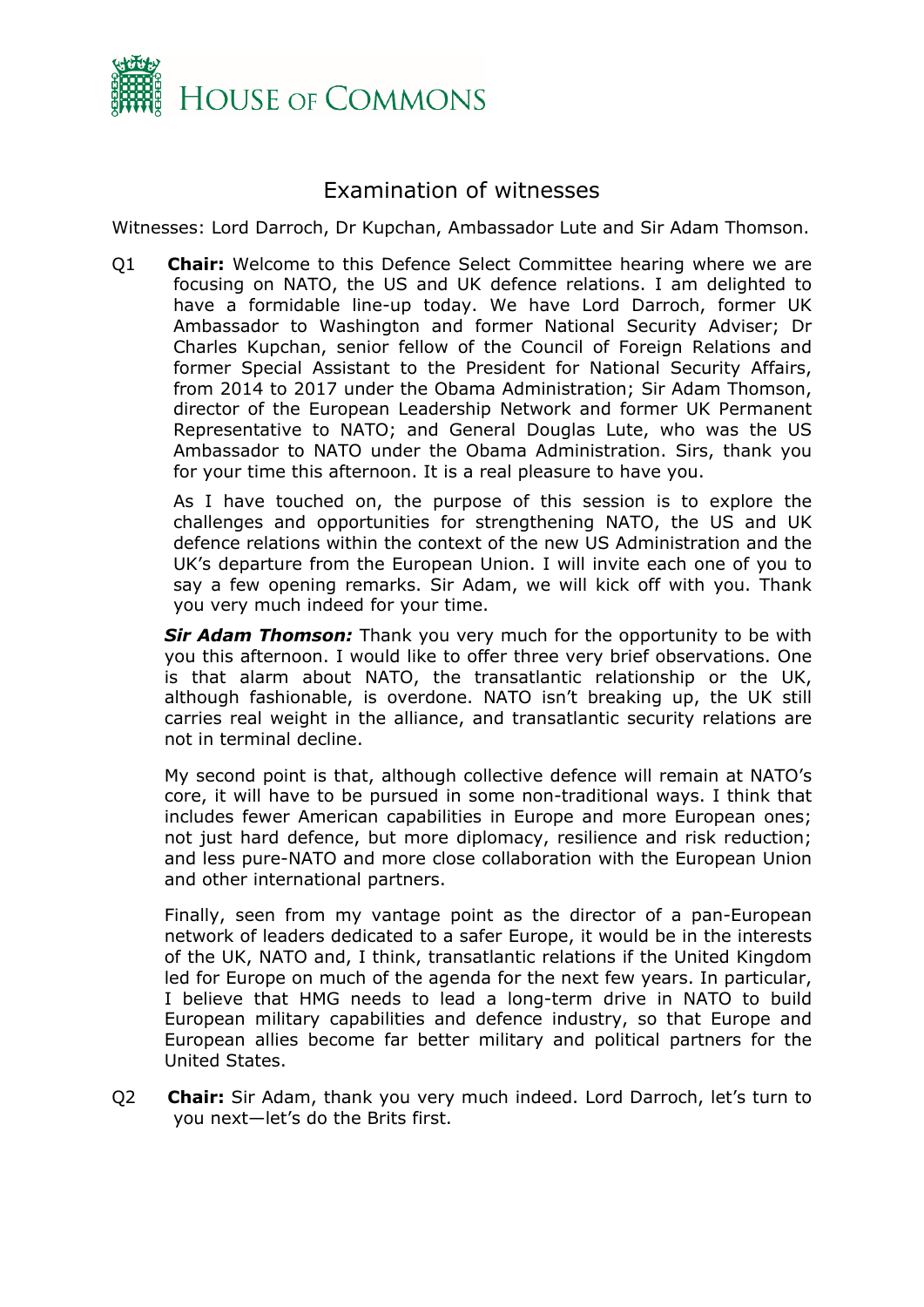

### <span id="page-1-0"></span>Examination of witnesses

Witnesses: Lord Darroch, Dr Kupchan, Ambassador Lute and Sir Adam Thomson.

Q1 **Chair:** Welcome to this Defence Select Committee hearing where we are focusing on NATO, the US and UK defence relations. I am delighted to have a formidable line-up today. We have Lord Darroch, former UK Ambassador to Washington and former National Security Adviser; Dr Charles Kupchan, senior fellow of the Council of Foreign Relations and former Special Assistant to the President for National Security Affairs, from 2014 to 2017 under the Obama Administration; Sir Adam Thomson, director of the European Leadership Network and former UK Permanent Representative to NATO; and General Douglas Lute, who was the US Ambassador to NATO under the Obama Administration. Sirs, thank you for your time this afternoon. It is a real pleasure to have you.

As I have touched on, the purpose of this session is to explore the challenges and opportunities for strengthening NATO, the US and UK defence relations within the context of the new US Administration and the UK's departure from the European Union. I will invite each one of you to say a few opening remarks. Sir Adam, we will kick off with you. Thank you very much indeed for your time.

*Sir Adam Thomson:* Thank you very much for the opportunity to be with you this afternoon. I would like to offer three very brief observations. One is that alarm about NATO, the transatlantic relationship or the UK, although fashionable, is overdone. NATO isn't breaking up, the UK still carries real weight in the alliance, and transatlantic security relations are not in terminal decline.

My second point is that, although collective defence will remain at NATO's core, it will have to be pursued in some non-traditional ways. I think that includes fewer American capabilities in Europe and more European ones; not just hard defence, but more diplomacy, resilience and risk reduction; and less pure-NATO and more close collaboration with the European Union and other international partners.

Finally, seen from my vantage point as the director of a pan-European network of leaders dedicated to a safer Europe, it would be in the interests of the UK, NATO and, I think, transatlantic relations if the United Kingdom led for Europe on much of the agenda for the next few years. In particular, I believe that HMG needs to lead a long-term drive in NATO to build European military capabilities and defence industry, so that Europe and European allies become far better military and political partners for the United States.

Q2 **Chair:** Sir Adam, thank you very much indeed. Lord Darroch, let's turn to you next—let's do the Brits first.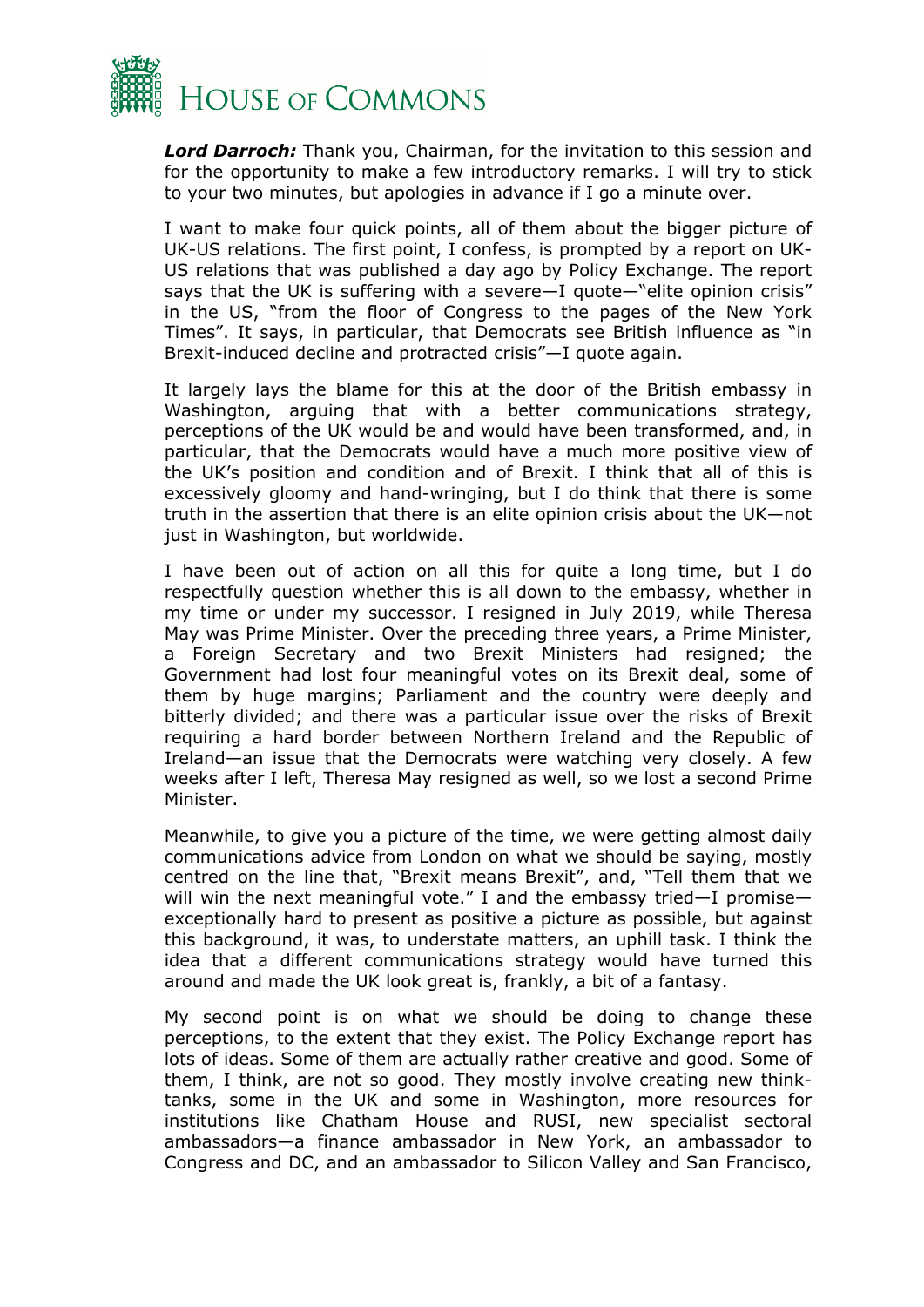

*Lord Darroch:* Thank you, Chairman, for the invitation to this session and for the opportunity to make a few introductory remarks. I will try to stick to your two minutes, but apologies in advance if I go a minute over.

I want to make four quick points, all of them about the bigger picture of UK-US relations. The first point, I confess, is prompted by a report on UK-US relations that was published a day ago by Policy Exchange. The report says that the UK is suffering with a severe—I quote—"elite opinion crisis" in the US, "from the floor of Congress to the pages of the New York Times". It says, in particular, that Democrats see British influence as "in Brexit-induced decline and protracted crisis"—I quote again.

It largely lays the blame for this at the door of the British embassy in Washington, arguing that with a better communications strategy, perceptions of the UK would be and would have been transformed, and, in particular, that the Democrats would have a much more positive view of the UK's position and condition and of Brexit. I think that all of this is excessively gloomy and hand-wringing, but I do think that there is some truth in the assertion that there is an elite opinion crisis about the UK—not just in Washington, but worldwide.

I have been out of action on all this for quite a long time, but I do respectfully question whether this is all down to the embassy, whether in my time or under my successor. I resigned in July 2019, while Theresa May was Prime Minister. Over the preceding three years, a Prime Minister, a Foreign Secretary and two Brexit Ministers had resigned; the Government had lost four meaningful votes on its Brexit deal, some of them by huge margins; Parliament and the country were deeply and bitterly divided; and there was a particular issue over the risks of Brexit requiring a hard border between Northern Ireland and the Republic of Ireland—an issue that the Democrats were watching very closely. A few weeks after I left, Theresa May resigned as well, so we lost a second Prime Minister.

Meanwhile, to give you a picture of the time, we were getting almost daily communications advice from London on what we should be saying, mostly centred on the line that, "Brexit means Brexit", and, "Tell them that we will win the next meaningful vote." I and the embassy tried—I promise exceptionally hard to present as positive a picture as possible, but against this background, it was, to understate matters, an uphill task. I think the idea that a different communications strategy would have turned this around and made the UK look great is, frankly, a bit of a fantasy.

My second point is on what we should be doing to change these perceptions, to the extent that they exist. The Policy Exchange report has lots of ideas. Some of them are actually rather creative and good. Some of them, I think, are not so good. They mostly involve creating new thinktanks, some in the UK and some in Washington, more resources for institutions like Chatham House and RUSI, new specialist sectoral ambassadors—a finance ambassador in New York, an ambassador to Congress and DC, and an ambassador to Silicon Valley and San Francisco,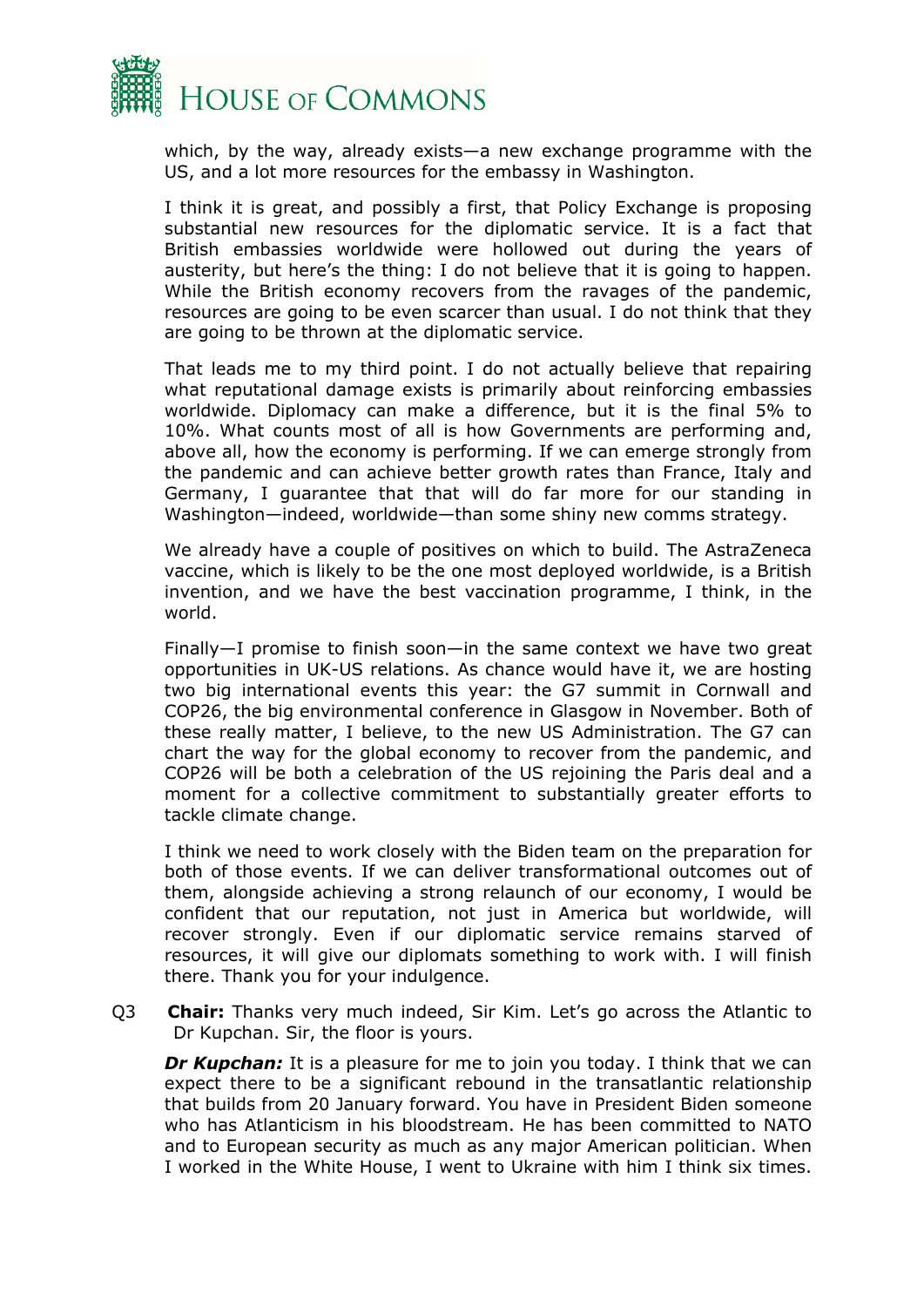

which, by the way, already exists—a new exchange programme with the US, and a lot more resources for the embassy in Washington.

I think it is great, and possibly a first, that Policy Exchange is proposing substantial new resources for the diplomatic service. It is a fact that British embassies worldwide were hollowed out during the years of austerity, but here's the thing: I do not believe that it is going to happen. While the British economy recovers from the ravages of the pandemic, resources are going to be even scarcer than usual. I do not think that they are going to be thrown at the diplomatic service.

That leads me to my third point. I do not actually believe that repairing what reputational damage exists is primarily about reinforcing embassies worldwide. Diplomacy can make a difference, but it is the final 5% to 10%. What counts most of all is how Governments are performing and, above all, how the economy is performing. If we can emerge strongly from the pandemic and can achieve better growth rates than France, Italy and Germany, I guarantee that that will do far more for our standing in Washington—indeed, worldwide—than some shiny new comms strategy.

We already have a couple of positives on which to build. The AstraZeneca vaccine, which is likely to be the one most deployed worldwide, is a British invention, and we have the best vaccination programme, I think, in the world.

Finally—I promise to finish soon—in the same context we have two great opportunities in UK-US relations. As chance would have it, we are hosting two big international events this year: the G7 summit in Cornwall and COP26, the big environmental conference in Glasgow in November. Both of these really matter, I believe, to the new US Administration. The G7 can chart the way for the global economy to recover from the pandemic, and COP26 will be both a celebration of the US rejoining the Paris deal and a moment for a collective commitment to substantially greater efforts to tackle climate change.

I think we need to work closely with the Biden team on the preparation for both of those events. If we can deliver transformational outcomes out of them, alongside achieving a strong relaunch of our economy, I would be confident that our reputation, not just in America but worldwide, will recover strongly. Even if our diplomatic service remains starved of resources, it will give our diplomats something to work with. I will finish there. Thank you for your indulgence.

Q3 **Chair:** Thanks very much indeed, Sir Kim. Let's go across the Atlantic to Dr Kupchan. Sir, the floor is yours.

**Dr Kupchan:** It is a pleasure for me to join you today. I think that we can expect there to be a significant rebound in the transatlantic relationship that builds from 20 January forward. You have in President Biden someone who has Atlanticism in his bloodstream. He has been committed to NATO and to European security as much as any major American politician. When I worked in the White House, I went to Ukraine with him I think six times.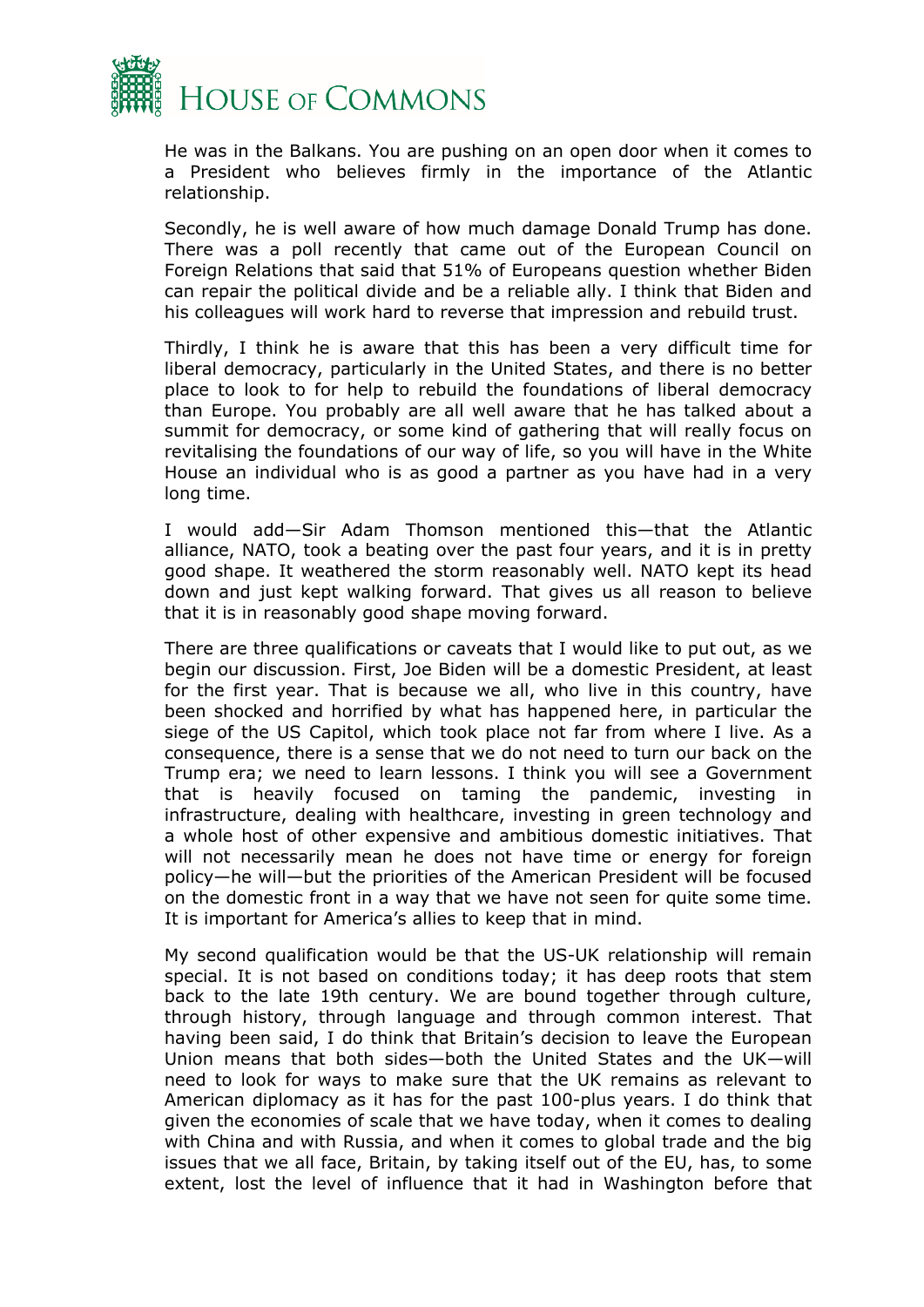

He was in the Balkans. You are pushing on an open door when it comes to a President who believes firmly in the importance of the Atlantic relationship.

Secondly, he is well aware of how much damage Donald Trump has done. There was a poll recently that came out of the European Council on Foreign Relations that said that 51% of Europeans question whether Biden can repair the political divide and be a reliable ally. I think that Biden and his colleagues will work hard to reverse that impression and rebuild trust.

Thirdly, I think he is aware that this has been a very difficult time for liberal democracy, particularly in the United States, and there is no better place to look to for help to rebuild the foundations of liberal democracy than Europe. You probably are all well aware that he has talked about a summit for democracy, or some kind of gathering that will really focus on revitalising the foundations of our way of life, so you will have in the White House an individual who is as good a partner as you have had in a very long time.

I would add—Sir Adam Thomson mentioned this—that the Atlantic alliance, NATO, took a beating over the past four years, and it is in pretty good shape. It weathered the storm reasonably well. NATO kept its head down and just kept walking forward. That gives us all reason to believe that it is in reasonably good shape moving forward.

There are three qualifications or caveats that I would like to put out, as we begin our discussion. First, Joe Biden will be a domestic President, at least for the first year. That is because we all, who live in this country, have been shocked and horrified by what has happened here, in particular the siege of the US Capitol, which took place not far from where I live. As a consequence, there is a sense that we do not need to turn our back on the Trump era; we need to learn lessons. I think you will see a Government that is heavily focused on taming the pandemic, investing in infrastructure, dealing with healthcare, investing in green technology and a whole host of other expensive and ambitious domestic initiatives. That will not necessarily mean he does not have time or energy for foreign policy—he will—but the priorities of the American President will be focused on the domestic front in a way that we have not seen for quite some time. It is important for America's allies to keep that in mind.

My second qualification would be that the US-UK relationship will remain special. It is not based on conditions today; it has deep roots that stem back to the late 19th century. We are bound together through culture, through history, through language and through common interest. That having been said, I do think that Britain's decision to leave the European Union means that both sides—both the United States and the UK—will need to look for ways to make sure that the UK remains as relevant to American diplomacy as it has for the past 100-plus years. I do think that given the economies of scale that we have today, when it comes to dealing with China and with Russia, and when it comes to global trade and the big issues that we all face, Britain, by taking itself out of the EU, has, to some extent, lost the level of influence that it had in Washington before that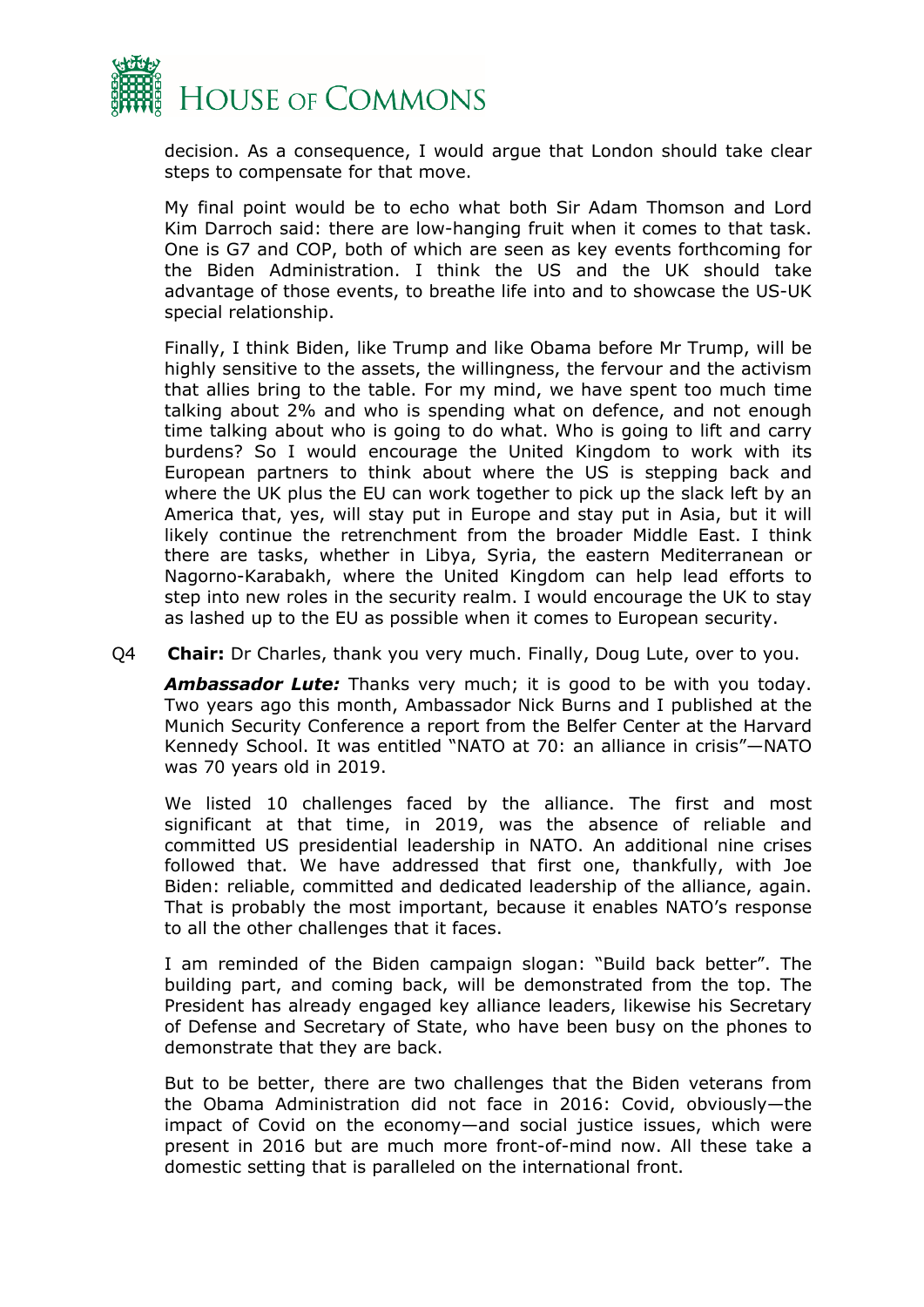

decision. As a consequence, I would argue that London should take clear steps to compensate for that move.

My final point would be to echo what both Sir Adam Thomson and Lord Kim Darroch said: there are low-hanging fruit when it comes to that task. One is G7 and COP, both of which are seen as key events forthcoming for the Biden Administration. I think the US and the UK should take advantage of those events, to breathe life into and to showcase the US-UK special relationship.

Finally, I think Biden, like Trump and like Obama before Mr Trump, will be highly sensitive to the assets, the willingness, the fervour and the activism that allies bring to the table. For my mind, we have spent too much time talking about 2% and who is spending what on defence, and not enough time talking about who is going to do what. Who is going to lift and carry burdens? So I would encourage the United Kingdom to work with its European partners to think about where the US is stepping back and where the UK plus the EU can work together to pick up the slack left by an America that, yes, will stay put in Europe and stay put in Asia, but it will likely continue the retrenchment from the broader Middle East. I think there are tasks, whether in Libya, Syria, the eastern Mediterranean or Nagorno-Karabakh, where the United Kingdom can help lead efforts to step into new roles in the security realm. I would encourage the UK to stay as lashed up to the EU as possible when it comes to European security.

Q4 **Chair:** Dr Charles, thank you very much. Finally, Doug Lute, over to you.

*Ambassador Lute:* Thanks very much; it is good to be with you today. Two years ago this month, Ambassador Nick Burns and I published at the Munich Security Conference a report from the Belfer Center at the Harvard Kennedy School. It was entitled "NATO at 70: an alliance in crisis"—NATO was 70 years old in 2019.

We listed 10 challenges faced by the alliance. The first and most significant at that time, in 2019, was the absence of reliable and committed US presidential leadership in NATO. An additional nine crises followed that. We have addressed that first one, thankfully, with Joe Biden: reliable, committed and dedicated leadership of the alliance, again. That is probably the most important, because it enables NATO's response to all the other challenges that it faces.

I am reminded of the Biden campaign slogan: "Build back better". The building part, and coming back, will be demonstrated from the top. The President has already engaged key alliance leaders, likewise his Secretary of Defense and Secretary of State, who have been busy on the phones to demonstrate that they are back.

But to be better, there are two challenges that the Biden veterans from the Obama Administration did not face in 2016: Covid, obviously—the impact of Covid on the economy—and social justice issues, which were present in 2016 but are much more front-of-mind now. All these take a domestic setting that is paralleled on the international front.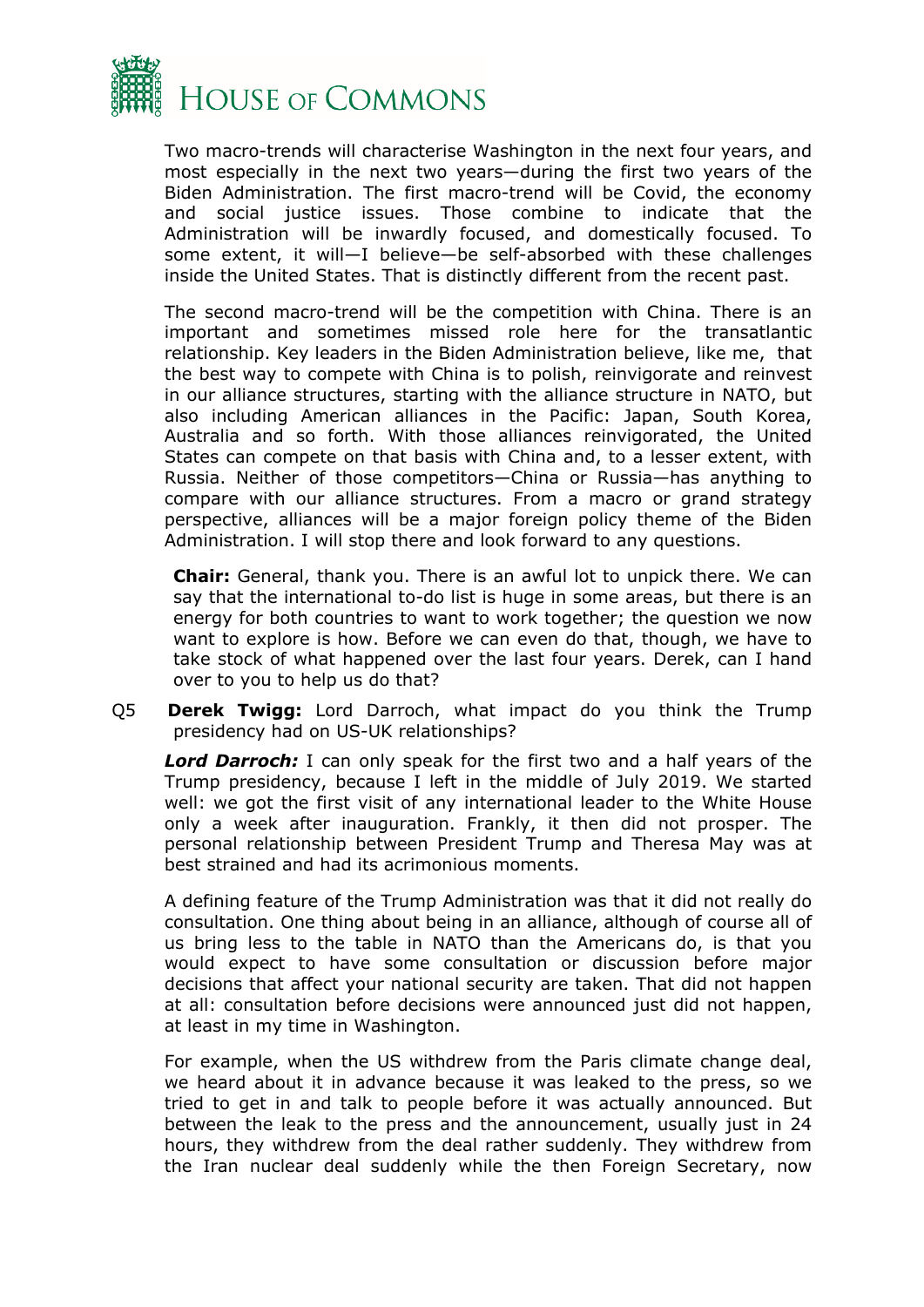

Two macro-trends will characterise Washington in the next four years, and most especially in the next two years—during the first two years of the Biden Administration. The first macro-trend will be Covid, the economy and social justice issues. Those combine to indicate that the Administration will be inwardly focused, and domestically focused. To some extent, it will—I believe—be self-absorbed with these challenges inside the United States. That is distinctly different from the recent past.

The second macro-trend will be the competition with China. There is an important and sometimes missed role here for the transatlantic relationship. Key leaders in the Biden Administration believe, like me, that the best way to compete with China is to polish, reinvigorate and reinvest in our alliance structures, starting with the alliance structure in NATO, but also including American alliances in the Pacific: Japan, South Korea, Australia and so forth. With those alliances reinvigorated, the United States can compete on that basis with China and, to a lesser extent, with Russia. Neither of those competitors—China or Russia—has anything to compare with our alliance structures. From a macro or grand strategy perspective, alliances will be a major foreign policy theme of the Biden Administration. I will stop there and look forward to any questions.

**Chair:** General, thank you. There is an awful lot to unpick there. We can say that the international to-do list is huge in some areas, but there is an energy for both countries to want to work together; the question we now want to explore is how. Before we can even do that, though, we have to take stock of what happened over the last four years. Derek, can I hand over to you to help us do that?

Q5 **Derek Twigg:** Lord Darroch, what impact do you think the Trump presidency had on US-UK relationships?

*Lord Darroch:* I can only speak for the first two and a half years of the Trump presidency, because I left in the middle of July 2019. We started well: we got the first visit of any international leader to the White House only a week after inauguration. Frankly, it then did not prosper. The personal relationship between President Trump and Theresa May was at best strained and had its acrimonious moments.

A defining feature of the Trump Administration was that it did not really do consultation. One thing about being in an alliance, although of course all of us bring less to the table in NATO than the Americans do, is that you would expect to have some consultation or discussion before major decisions that affect your national security are taken. That did not happen at all: consultation before decisions were announced just did not happen, at least in my time in Washington.

For example, when the US withdrew from the Paris climate change deal, we heard about it in advance because it was leaked to the press, so we tried to get in and talk to people before it was actually announced. But between the leak to the press and the announcement, usually just in 24 hours, they withdrew from the deal rather suddenly. They withdrew from the Iran nuclear deal suddenly while the then Foreign Secretary, now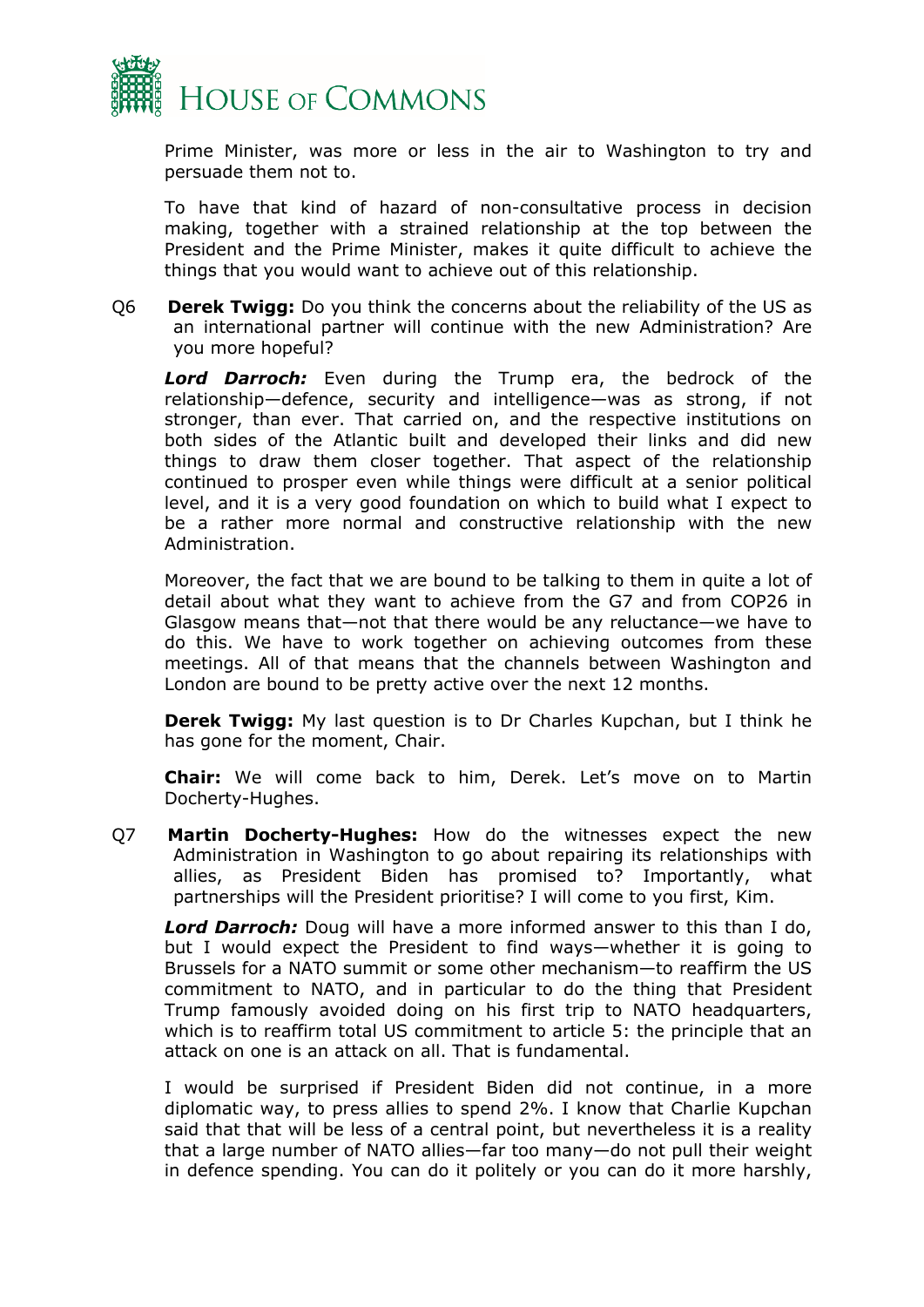

Prime Minister, was more or less in the air to Washington to try and persuade them not to.

To have that kind of hazard of non-consultative process in decision making, together with a strained relationship at the top between the President and the Prime Minister, makes it quite difficult to achieve the things that you would want to achieve out of this relationship.

Q6 **Derek Twigg:** Do you think the concerns about the reliability of the US as an international partner will continue with the new Administration? Are you more hopeful?

*Lord Darroch:* Even during the Trump era, the bedrock of the relationship—defence, security and intelligence—was as strong, if not stronger, than ever. That carried on, and the respective institutions on both sides of the Atlantic built and developed their links and did new things to draw them closer together. That aspect of the relationship continued to prosper even while things were difficult at a senior political level, and it is a very good foundation on which to build what I expect to be a rather more normal and constructive relationship with the new Administration.

Moreover, the fact that we are bound to be talking to them in quite a lot of detail about what they want to achieve from the G7 and from COP26 in Glasgow means that—not that there would be any reluctance—we have to do this. We have to work together on achieving outcomes from these meetings. All of that means that the channels between Washington and London are bound to be pretty active over the next 12 months.

**Derek Twigg:** My last question is to Dr Charles Kupchan, but I think he has gone for the moment, Chair.

**Chair:** We will come back to him, Derek. Let's move on to Martin Docherty-Hughes.

Q7 **Martin Docherty-Hughes:** How do the witnesses expect the new Administration in Washington to go about repairing its relationships with allies, as President Biden has promised to? Importantly, what partnerships will the President prioritise? I will come to you first, Kim.

*Lord Darroch:* Doug will have a more informed answer to this than I do, but I would expect the President to find ways—whether it is going to Brussels for a NATO summit or some other mechanism—to reaffirm the US commitment to NATO, and in particular to do the thing that President Trump famously avoided doing on his first trip to NATO headquarters, which is to reaffirm total US commitment to article 5: the principle that an attack on one is an attack on all. That is fundamental.

I would be surprised if President Biden did not continue, in a more diplomatic way, to press allies to spend 2%. I know that Charlie Kupchan said that that will be less of a central point, but nevertheless it is a reality that a large number of NATO allies—far too many—do not pull their weight in defence spending. You can do it politely or you can do it more harshly,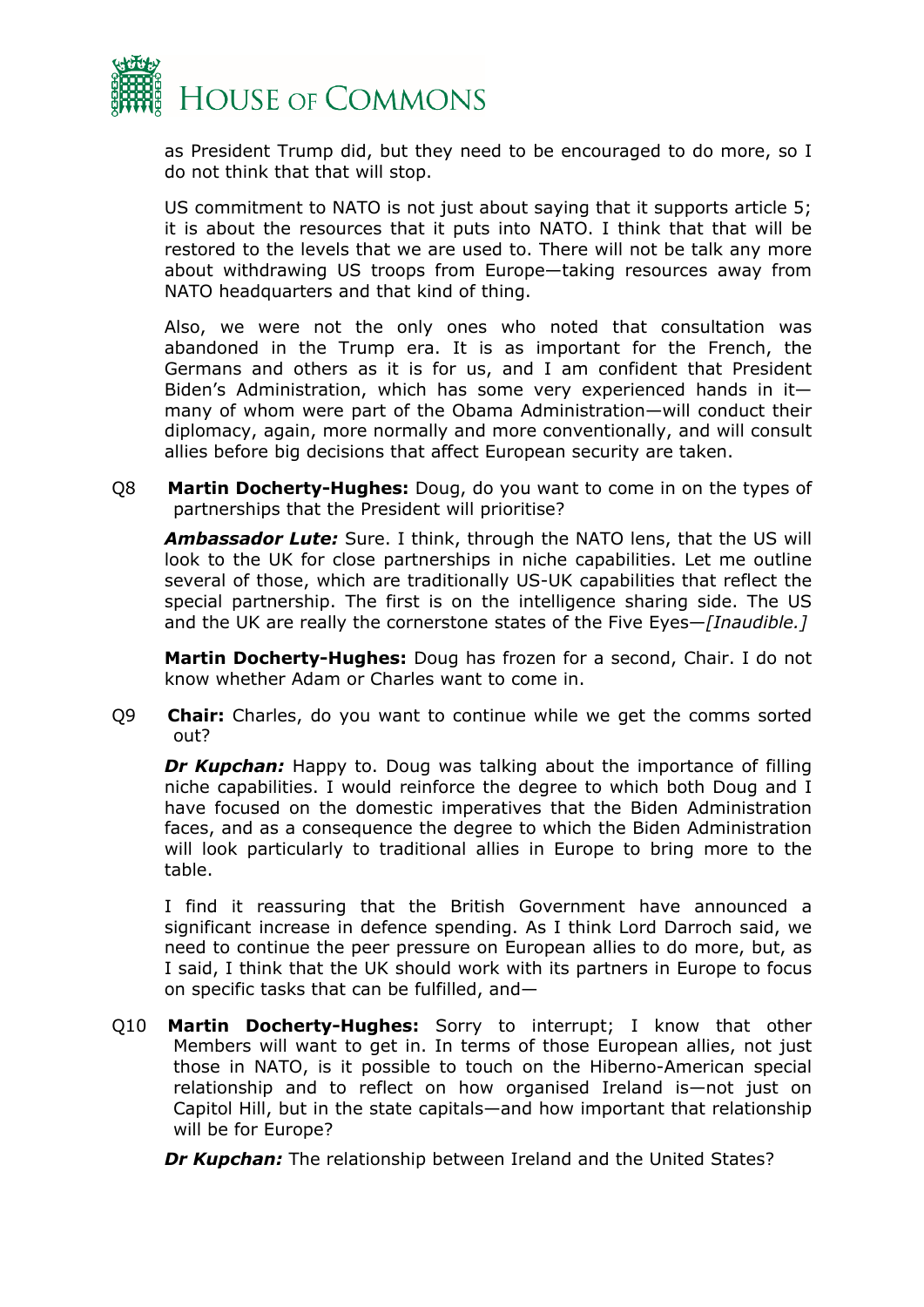

as President Trump did, but they need to be encouraged to do more, so I do not think that that will stop.

US commitment to NATO is not just about saying that it supports article 5; it is about the resources that it puts into NATO. I think that that will be restored to the levels that we are used to. There will not be talk any more about withdrawing US troops from Europe—taking resources away from NATO headquarters and that kind of thing.

Also, we were not the only ones who noted that consultation was abandoned in the Trump era. It is as important for the French, the Germans and others as it is for us, and I am confident that President Biden's Administration, which has some very experienced hands in it many of whom were part of the Obama Administration—will conduct their diplomacy, again, more normally and more conventionally, and will consult allies before big decisions that affect European security are taken.

Q8 **Martin Docherty-Hughes:** Doug, do you want to come in on the types of partnerships that the President will prioritise?

*Ambassador Lute:* Sure. I think, through the NATO lens, that the US will look to the UK for close partnerships in niche capabilities. Let me outline several of those, which are traditionally US-UK capabilities that reflect the special partnership. The first is on the intelligence sharing side. The US and the UK are really the cornerstone states of the Five Eyes—*[Inaudible.]*

**Martin Docherty-Hughes:** Doug has frozen for a second, Chair. I do not know whether Adam or Charles want to come in.

Q9 **Chair:** Charles, do you want to continue while we get the comms sorted out?

*Dr Kupchan:* Happy to. Doug was talking about the importance of filling niche capabilities. I would reinforce the degree to which both Doug and I have focused on the domestic imperatives that the Biden Administration faces, and as a consequence the degree to which the Biden Administration will look particularly to traditional allies in Europe to bring more to the table.

I find it reassuring that the British Government have announced a significant increase in defence spending. As I think Lord Darroch said, we need to continue the peer pressure on European allies to do more, but, as I said, I think that the UK should work with its partners in Europe to focus on specific tasks that can be fulfilled, and—

Q10 **Martin Docherty-Hughes:** Sorry to interrupt; I know that other Members will want to get in. In terms of those European allies, not just those in NATO, is it possible to touch on the Hiberno-American special relationship and to reflect on how organised Ireland is—not just on Capitol Hill, but in the state capitals—and how important that relationship will be for Europe?

*Dr Kupchan:* The relationship between Ireland and the United States?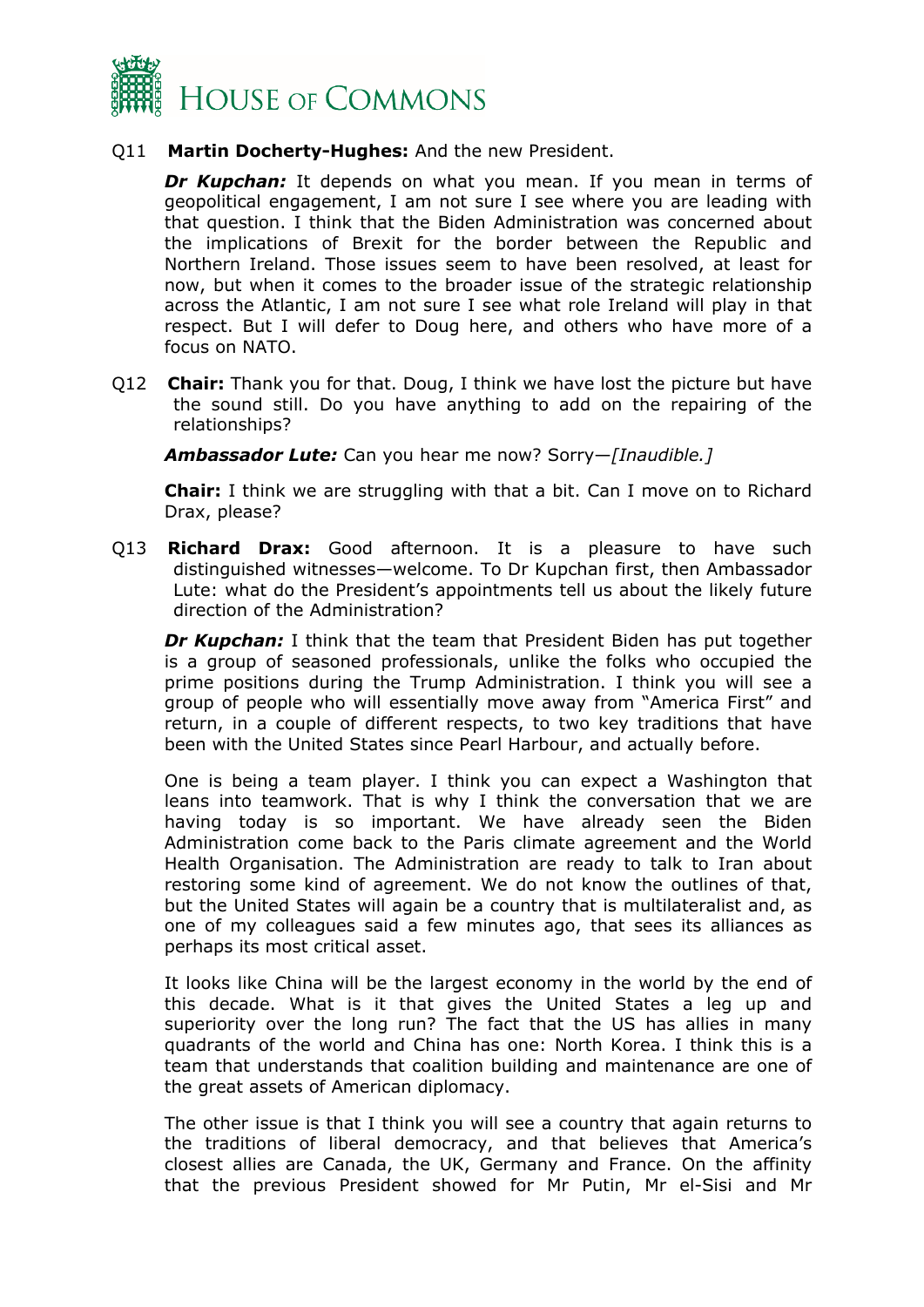

#### Q11 **Martin Docherty-Hughes:** And the new President.

*Dr Kupchan:* It depends on what you mean. If you mean in terms of geopolitical engagement, I am not sure I see where you are leading with that question. I think that the Biden Administration was concerned about the implications of Brexit for the border between the Republic and Northern Ireland. Those issues seem to have been resolved, at least for now, but when it comes to the broader issue of the strategic relationship across the Atlantic, I am not sure I see what role Ireland will play in that respect. But I will defer to Doug here, and others who have more of a focus on NATO.

Q12 **Chair:** Thank you for that. Doug, I think we have lost the picture but have the sound still. Do you have anything to add on the repairing of the relationships?

*Ambassador Lute:* Can you hear me now? Sorry—*[Inaudible.]*

**Chair:** I think we are struggling with that a bit. Can I move on to Richard Drax, please?

Q13 **Richard Drax:** Good afternoon. It is a pleasure to have such distinguished witnesses—welcome. To Dr Kupchan first, then Ambassador Lute: what do the President's appointments tell us about the likely future direction of the Administration?

*Dr Kupchan:* I think that the team that President Biden has put together is a group of seasoned professionals, unlike the folks who occupied the prime positions during the Trump Administration. I think you will see a group of people who will essentially move away from "America First" and return, in a couple of different respects, to two key traditions that have been with the United States since Pearl Harbour, and actually before.

One is being a team player. I think you can expect a Washington that leans into teamwork. That is why I think the conversation that we are having today is so important. We have already seen the Biden Administration come back to the Paris climate agreement and the World Health Organisation. The Administration are ready to talk to Iran about restoring some kind of agreement. We do not know the outlines of that, but the United States will again be a country that is multilateralist and, as one of my colleagues said a few minutes ago, that sees its alliances as perhaps its most critical asset.

It looks like China will be the largest economy in the world by the end of this decade. What is it that gives the United States a leg up and superiority over the long run? The fact that the US has allies in many quadrants of the world and China has one: North Korea. I think this is a team that understands that coalition building and maintenance are one of the great assets of American diplomacy.

The other issue is that I think you will see a country that again returns to the traditions of liberal democracy, and that believes that America's closest allies are Canada, the UK, Germany and France. On the affinity that the previous President showed for Mr Putin, Mr el-Sisi and Mr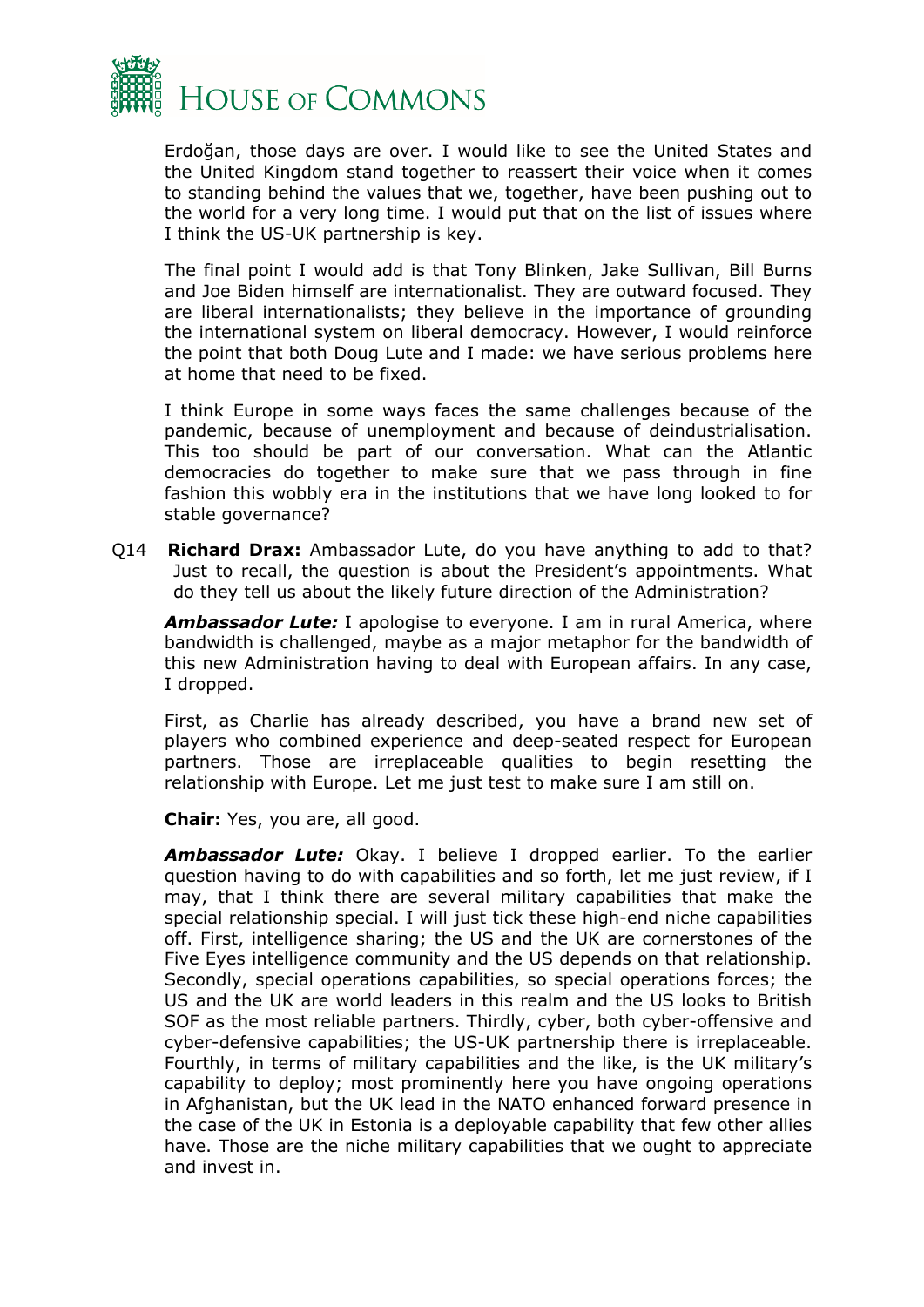

Erdoğan, those days are over. I would like to see the United States and the United Kingdom stand together to reassert their voice when it comes to standing behind the values that we, together, have been pushing out to the world for a very long time. I would put that on the list of issues where I think the US-UK partnership is key.

The final point I would add is that Tony Blinken, Jake Sullivan, Bill Burns and Joe Biden himself are internationalist. They are outward focused. They are liberal internationalists; they believe in the importance of grounding the international system on liberal democracy. However, I would reinforce the point that both Doug Lute and I made: we have serious problems here at home that need to be fixed.

I think Europe in some ways faces the same challenges because of the pandemic, because of unemployment and because of deindustrialisation. This too should be part of our conversation. What can the Atlantic democracies do together to make sure that we pass through in fine fashion this wobbly era in the institutions that we have long looked to for stable governance?

Q14 **Richard Drax:** Ambassador Lute, do you have anything to add to that? Just to recall, the question is about the President's appointments. What do they tell us about the likely future direction of the Administration?

*Ambassador Lute:* I apologise to everyone. I am in rural America, where bandwidth is challenged, maybe as a major metaphor for the bandwidth of this new Administration having to deal with European affairs. In any case, I dropped.

First, as Charlie has already described, you have a brand new set of players who combined experience and deep-seated respect for European partners. Those are irreplaceable qualities to begin resetting the relationship with Europe. Let me just test to make sure I am still on.

**Chair:** Yes, you are, all good.

*Ambassador Lute:* Okay. I believe I dropped earlier. To the earlier question having to do with capabilities and so forth, let me just review, if I may, that I think there are several military capabilities that make the special relationship special. I will just tick these high-end niche capabilities off. First, intelligence sharing; the US and the UK are cornerstones of the Five Eyes intelligence community and the US depends on that relationship. Secondly, special operations capabilities, so special operations forces; the US and the UK are world leaders in this realm and the US looks to British SOF as the most reliable partners. Thirdly, cyber, both cyber-offensive and cyber-defensive capabilities; the US-UK partnership there is irreplaceable. Fourthly, in terms of military capabilities and the like, is the UK military's capability to deploy; most prominently here you have ongoing operations in Afghanistan, but the UK lead in the NATO enhanced forward presence in the case of the UK in Estonia is a deployable capability that few other allies have. Those are the niche military capabilities that we ought to appreciate and invest in.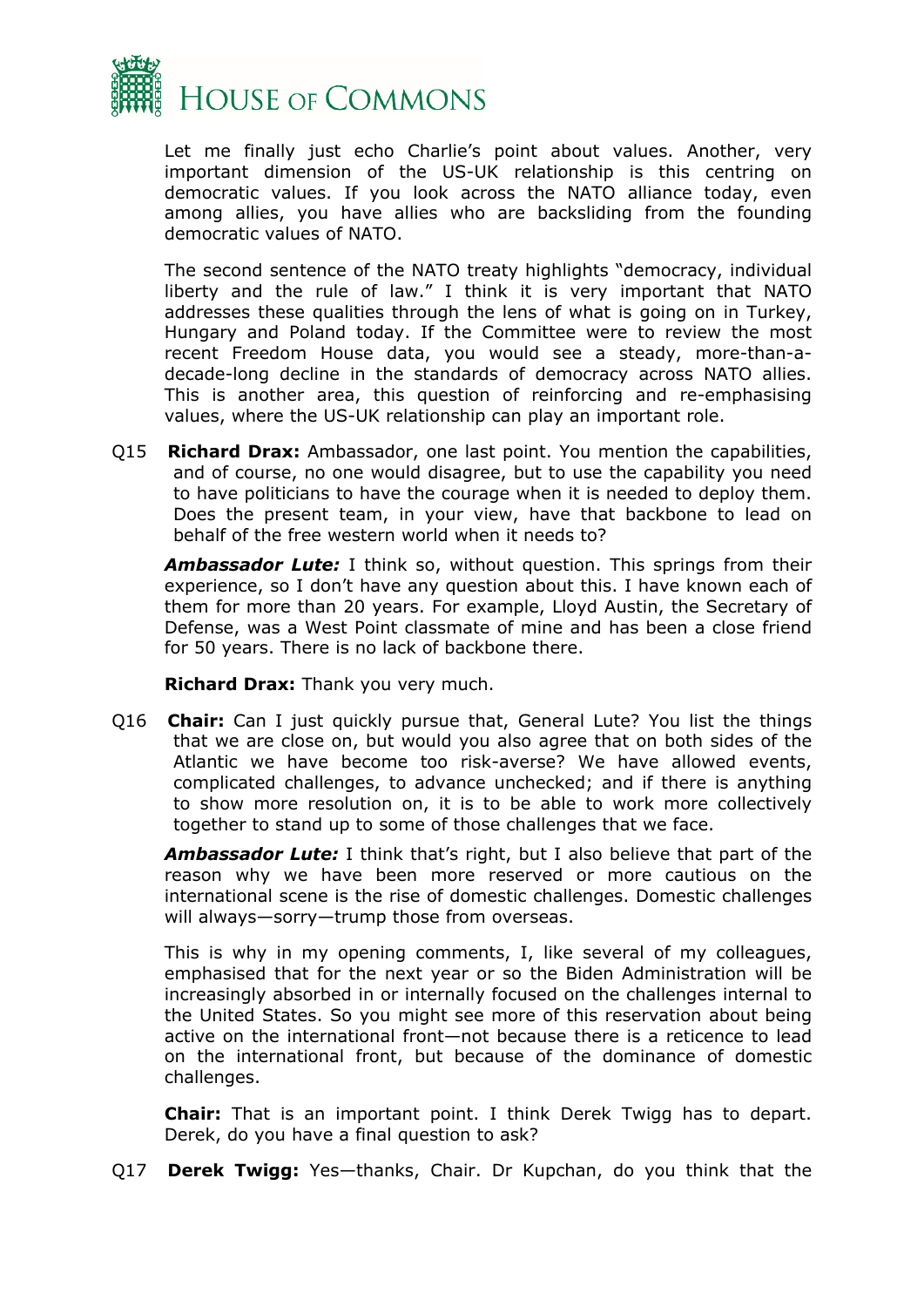

Let me finally just echo Charlie's point about values. Another, very important dimension of the US-UK relationship is this centring on democratic values. If you look across the NATO alliance today, even among allies, you have allies who are backsliding from the founding democratic values of NATO.

The second sentence of the NATO treaty highlights "democracy, individual liberty and the rule of law." I think it is very important that NATO addresses these qualities through the lens of what is going on in Turkey, Hungary and Poland today. If the Committee were to review the most recent Freedom House data, you would see a steady, more-than-adecade-long decline in the standards of democracy across NATO allies. This is another area, this question of reinforcing and re-emphasising values, where the US-UK relationship can play an important role.

Q15 **Richard Drax:** Ambassador, one last point. You mention the capabilities, and of course, no one would disagree, but to use the capability you need to have politicians to have the courage when it is needed to deploy them. Does the present team, in your view, have that backbone to lead on behalf of the free western world when it needs to?

*Ambassador Lute:* I think so, without question. This springs from their experience, so I don't have any question about this. I have known each of them for more than 20 years. For example, Lloyd Austin, the Secretary of Defense, was a West Point classmate of mine and has been a close friend for 50 years. There is no lack of backbone there.

**Richard Drax:** Thank you very much.

Q16 **Chair:** Can I just quickly pursue that, General Lute? You list the things that we are close on, but would you also agree that on both sides of the Atlantic we have become too risk-averse? We have allowed events, complicated challenges, to advance unchecked; and if there is anything to show more resolution on, it is to be able to work more collectively together to stand up to some of those challenges that we face.

*Ambassador Lute:* I think that's right, but I also believe that part of the reason why we have been more reserved or more cautious on the international scene is the rise of domestic challenges. Domestic challenges will always—sorry—trump those from overseas.

This is why in my opening comments, I, like several of my colleagues, emphasised that for the next year or so the Biden Administration will be increasingly absorbed in or internally focused on the challenges internal to the United States. So you might see more of this reservation about being active on the international front—not because there is a reticence to lead on the international front, but because of the dominance of domestic challenges.

**Chair:** That is an important point. I think Derek Twigg has to depart. Derek, do you have a final question to ask?

Q17 **Derek Twigg:** Yes—thanks, Chair. Dr Kupchan, do you think that the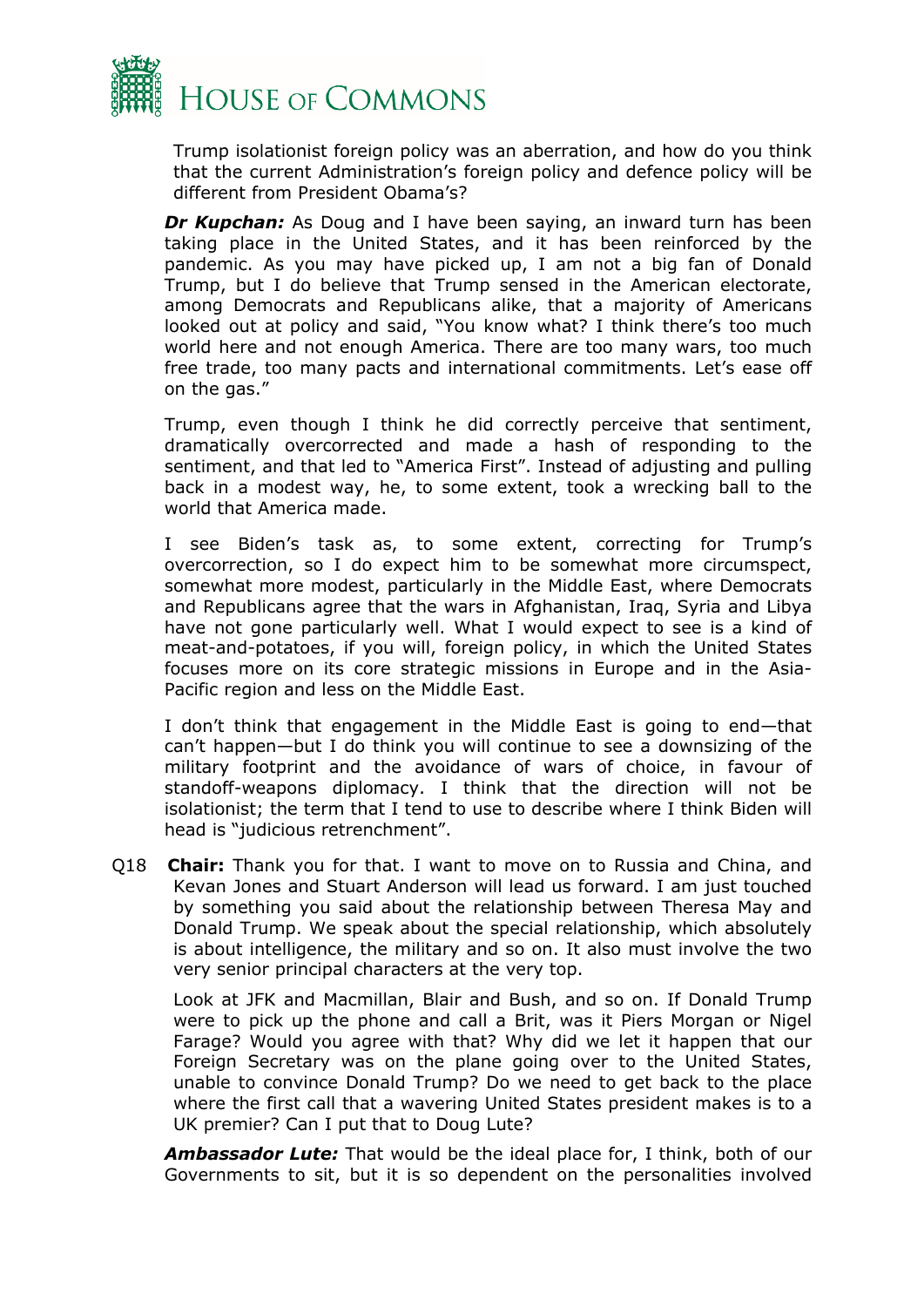

Trump isolationist foreign policy was an aberration, and how do you think that the current Administration's foreign policy and defence policy will be different from President Obama's?

*Dr Kupchan:* As Doug and I have been saying, an inward turn has been taking place in the United States, and it has been reinforced by the pandemic. As you may have picked up, I am not a big fan of Donald Trump, but I do believe that Trump sensed in the American electorate, among Democrats and Republicans alike, that a majority of Americans looked out at policy and said, "You know what? I think there's too much world here and not enough America. There are too many wars, too much free trade, too many pacts and international commitments. Let's ease off on the gas."

Trump, even though I think he did correctly perceive that sentiment, dramatically overcorrected and made a hash of responding to the sentiment, and that led to "America First". Instead of adjusting and pulling back in a modest way, he, to some extent, took a wrecking ball to the world that America made.

I see Biden's task as, to some extent, correcting for Trump's overcorrection, so I do expect him to be somewhat more circumspect, somewhat more modest, particularly in the Middle East, where Democrats and Republicans agree that the wars in Afghanistan, Iraq, Syria and Libya have not gone particularly well. What I would expect to see is a kind of meat-and-potatoes, if you will, foreign policy, in which the United States focuses more on its core strategic missions in Europe and in the Asia-Pacific region and less on the Middle East.

I don't think that engagement in the Middle East is going to end—that can't happen—but I do think you will continue to see a downsizing of the military footprint and the avoidance of wars of choice, in favour of standoff-weapons diplomacy. I think that the direction will not be isolationist; the term that I tend to use to describe where I think Biden will head is "judicious retrenchment".

Q18 **Chair:** Thank you for that. I want to move on to Russia and China, and Kevan Jones and Stuart Anderson will lead us forward. I am just touched by something you said about the relationship between Theresa May and Donald Trump. We speak about the special relationship, which absolutely is about intelligence, the military and so on. It also must involve the two very senior principal characters at the very top.

Look at JFK and Macmillan, Blair and Bush, and so on. If Donald Trump were to pick up the phone and call a Brit, was it Piers Morgan or Nigel Farage? Would you agree with that? Why did we let it happen that our Foreign Secretary was on the plane going over to the United States, unable to convince Donald Trump? Do we need to get back to the place where the first call that a wavering United States president makes is to a UK premier? Can I put that to Doug Lute?

*Ambassador Lute:* That would be the ideal place for, I think, both of our Governments to sit, but it is so dependent on the personalities involved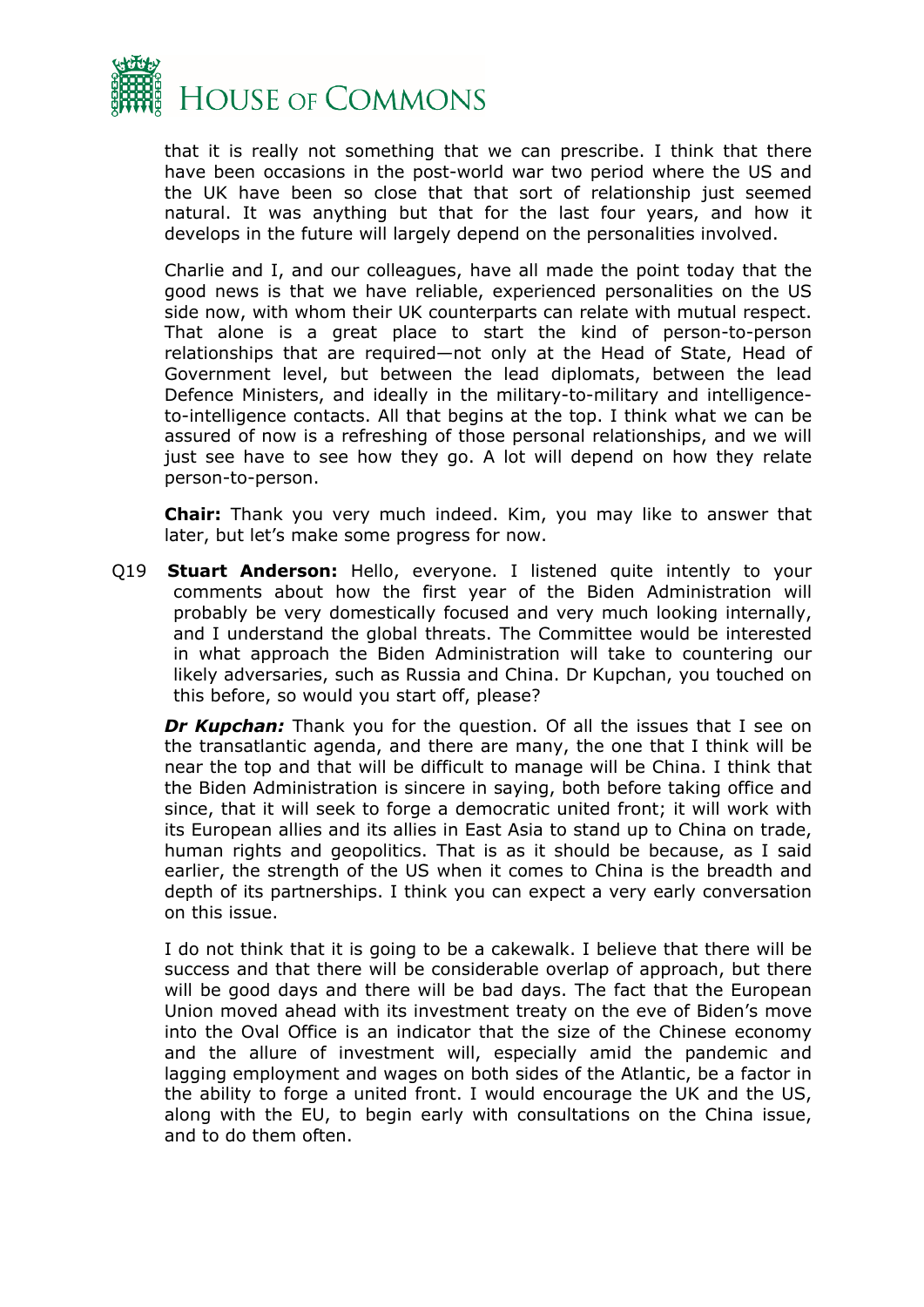

that it is really not something that we can prescribe. I think that there have been occasions in the post-world war two period where the US and the UK have been so close that that sort of relationship just seemed natural. It was anything but that for the last four years, and how it develops in the future will largely depend on the personalities involved.

Charlie and I, and our colleagues, have all made the point today that the good news is that we have reliable, experienced personalities on the US side now, with whom their UK counterparts can relate with mutual respect. That alone is a great place to start the kind of person-to-person relationships that are required—not only at the Head of State, Head of Government level, but between the lead diplomats, between the lead Defence Ministers, and ideally in the military-to-military and intelligenceto-intelligence contacts. All that begins at the top. I think what we can be assured of now is a refreshing of those personal relationships, and we will just see have to see how they go. A lot will depend on how they relate person-to-person.

**Chair:** Thank you very much indeed. Kim, you may like to answer that later, but let's make some progress for now.

Q19 **Stuart Anderson:** Hello, everyone. I listened quite intently to your comments about how the first year of the Biden Administration will probably be very domestically focused and very much looking internally, and I understand the global threats. The Committee would be interested in what approach the Biden Administration will take to countering our likely adversaries, such as Russia and China. Dr Kupchan, you touched on this before, so would you start off, please?

*Dr Kupchan:* Thank you for the question. Of all the issues that I see on the transatlantic agenda, and there are many, the one that I think will be near the top and that will be difficult to manage will be China. I think that the Biden Administration is sincere in saying, both before taking office and since, that it will seek to forge a democratic united front; it will work with its European allies and its allies in East Asia to stand up to China on trade, human rights and geopolitics. That is as it should be because, as I said earlier, the strength of the US when it comes to China is the breadth and depth of its partnerships. I think you can expect a very early conversation on this issue.

I do not think that it is going to be a cakewalk. I believe that there will be success and that there will be considerable overlap of approach, but there will be good days and there will be bad days. The fact that the European Union moved ahead with its investment treaty on the eve of Biden's move into the Oval Office is an indicator that the size of the Chinese economy and the allure of investment will, especially amid the pandemic and lagging employment and wages on both sides of the Atlantic, be a factor in the ability to forge a united front. I would encourage the UK and the US, along with the EU, to begin early with consultations on the China issue, and to do them often.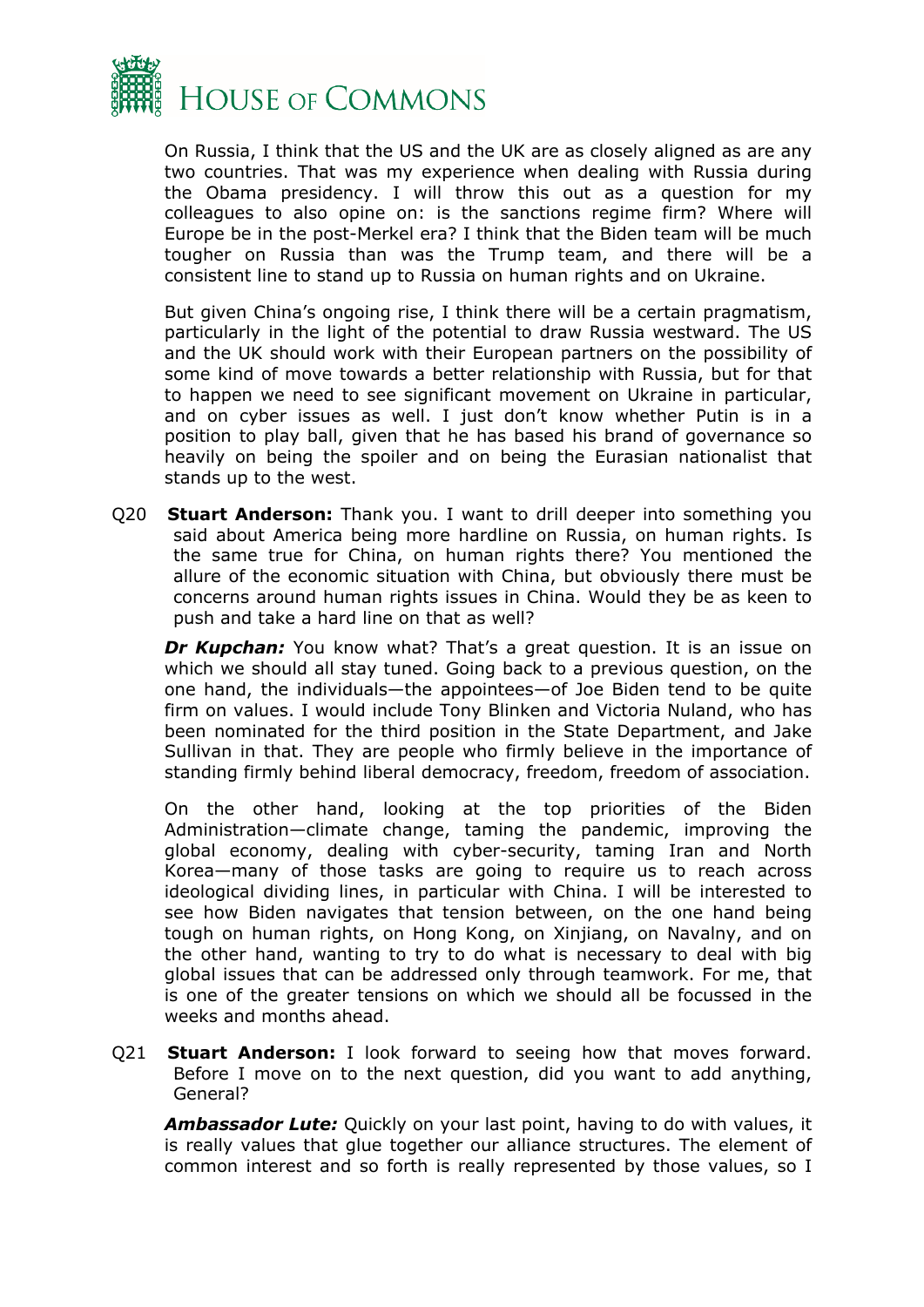

On Russia, I think that the US and the UK are as closely aligned as are any two countries. That was my experience when dealing with Russia during the Obama presidency. I will throw this out as a question for my colleagues to also opine on: is the sanctions regime firm? Where will Europe be in the post-Merkel era? I think that the Biden team will be much tougher on Russia than was the Trump team, and there will be a consistent line to stand up to Russia on human rights and on Ukraine.

But given China's ongoing rise, I think there will be a certain pragmatism, particularly in the light of the potential to draw Russia westward. The US and the UK should work with their European partners on the possibility of some kind of move towards a better relationship with Russia, but for that to happen we need to see significant movement on Ukraine in particular, and on cyber issues as well. I just don't know whether Putin is in a position to play ball, given that he has based his brand of governance so heavily on being the spoiler and on being the Eurasian nationalist that stands up to the west.

Q20 **Stuart Anderson:** Thank you. I want to drill deeper into something you said about America being more hardline on Russia, on human rights. Is the same true for China, on human rights there? You mentioned the allure of the economic situation with China, but obviously there must be concerns around human rights issues in China. Would they be as keen to push and take a hard line on that as well?

*Dr Kupchan:* You know what? That's a great question. It is an issue on which we should all stay tuned. Going back to a previous question, on the one hand, the individuals—the appointees—of Joe Biden tend to be quite firm on values. I would include Tony Blinken and Victoria Nuland, who has been nominated for the third position in the State Department, and Jake Sullivan in that. They are people who firmly believe in the importance of standing firmly behind liberal democracy, freedom, freedom of association.

On the other hand, looking at the top priorities of the Biden Administration—climate change, taming the pandemic, improving the global economy, dealing with cyber-security, taming Iran and North Korea—many of those tasks are going to require us to reach across ideological dividing lines, in particular with China. I will be interested to see how Biden navigates that tension between, on the one hand being tough on human rights, on Hong Kong, on Xinjiang, on Navalny, and on the other hand, wanting to try to do what is necessary to deal with big global issues that can be addressed only through teamwork. For me, that is one of the greater tensions on which we should all be focussed in the weeks and months ahead.

Q21 **Stuart Anderson:** I look forward to seeing how that moves forward. Before I move on to the next question, did you want to add anything, General?

*Ambassador Lute:* Quickly on your last point, having to do with values, it is really values that glue together our alliance structures. The element of common interest and so forth is really represented by those values, so I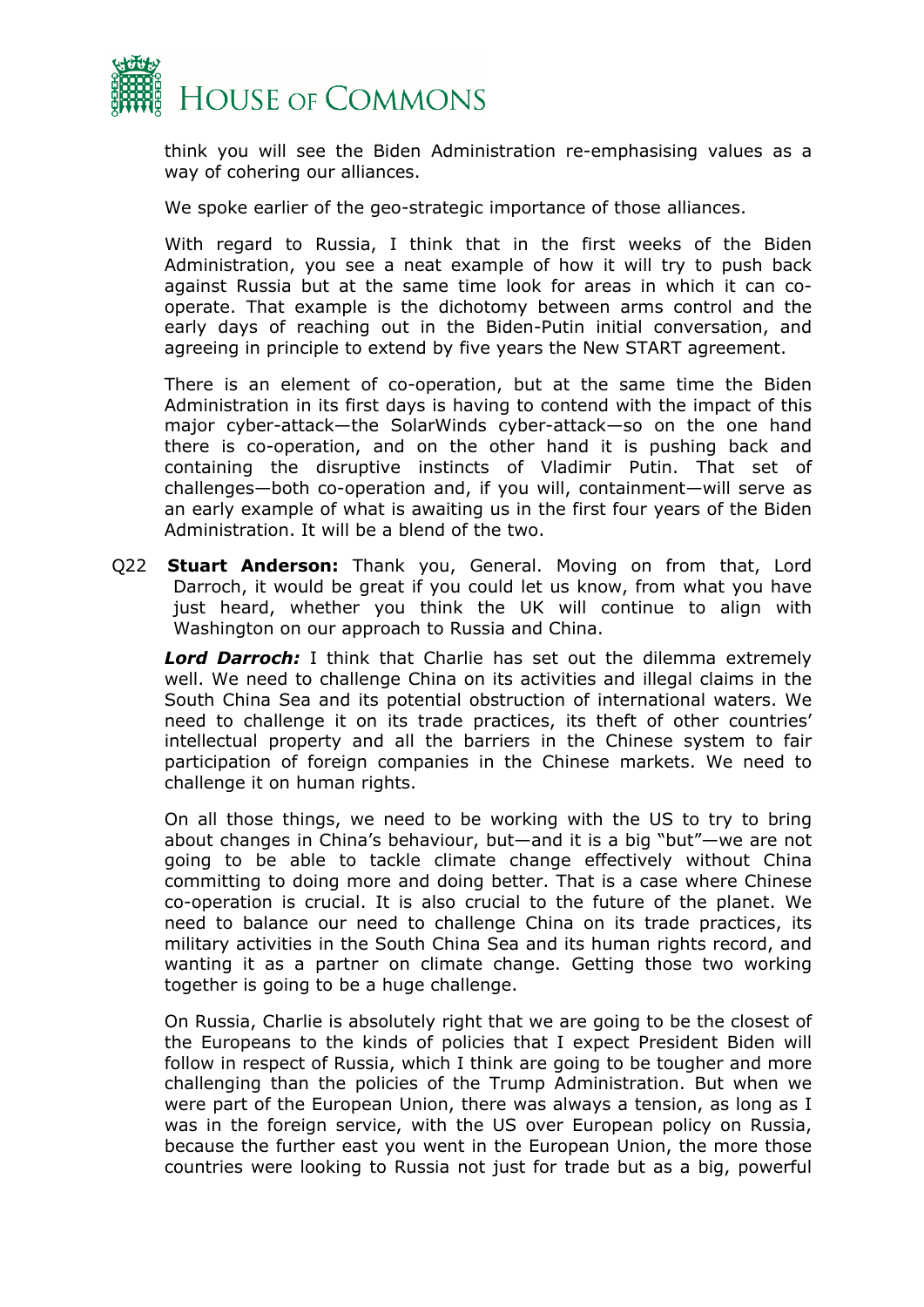

think you will see the Biden Administration re-emphasising values as a way of cohering our alliances.

We spoke earlier of the geo-strategic importance of those alliances.

With regard to Russia, I think that in the first weeks of the Biden Administration, you see a neat example of how it will try to push back against Russia but at the same time look for areas in which it can cooperate. That example is the dichotomy between arms control and the early days of reaching out in the Biden-Putin initial conversation, and agreeing in principle to extend by five years the New START agreement.

There is an element of co-operation, but at the same time the Biden Administration in its first days is having to contend with the impact of this major cyber-attack—the SolarWinds cyber-attack—so on the one hand there is co-operation, and on the other hand it is pushing back and containing the disruptive instincts of Vladimir Putin. That set of challenges—both co-operation and, if you will, containment—will serve as an early example of what is awaiting us in the first four years of the Biden Administration. It will be a blend of the two.

Q22 **Stuart Anderson:** Thank you, General. Moving on from that, Lord Darroch, it would be great if you could let us know, from what you have just heard, whether you think the UK will continue to align with Washington on our approach to Russia and China.

*Lord Darroch:* I think that Charlie has set out the dilemma extremely well. We need to challenge China on its activities and illegal claims in the South China Sea and its potential obstruction of international waters. We need to challenge it on its trade practices, its theft of other countries' intellectual property and all the barriers in the Chinese system to fair participation of foreign companies in the Chinese markets. We need to challenge it on human rights.

On all those things, we need to be working with the US to try to bring about changes in China's behaviour, but—and it is a big "but"—we are not going to be able to tackle climate change effectively without China committing to doing more and doing better. That is a case where Chinese co-operation is crucial. It is also crucial to the future of the planet. We need to balance our need to challenge China on its trade practices, its military activities in the South China Sea and its human rights record, and wanting it as a partner on climate change. Getting those two working together is going to be a huge challenge.

On Russia, Charlie is absolutely right that we are going to be the closest of the Europeans to the kinds of policies that I expect President Biden will follow in respect of Russia, which I think are going to be tougher and more challenging than the policies of the Trump Administration. But when we were part of the European Union, there was always a tension, as long as I was in the foreign service, with the US over European policy on Russia, because the further east you went in the European Union, the more those countries were looking to Russia not just for trade but as a big, powerful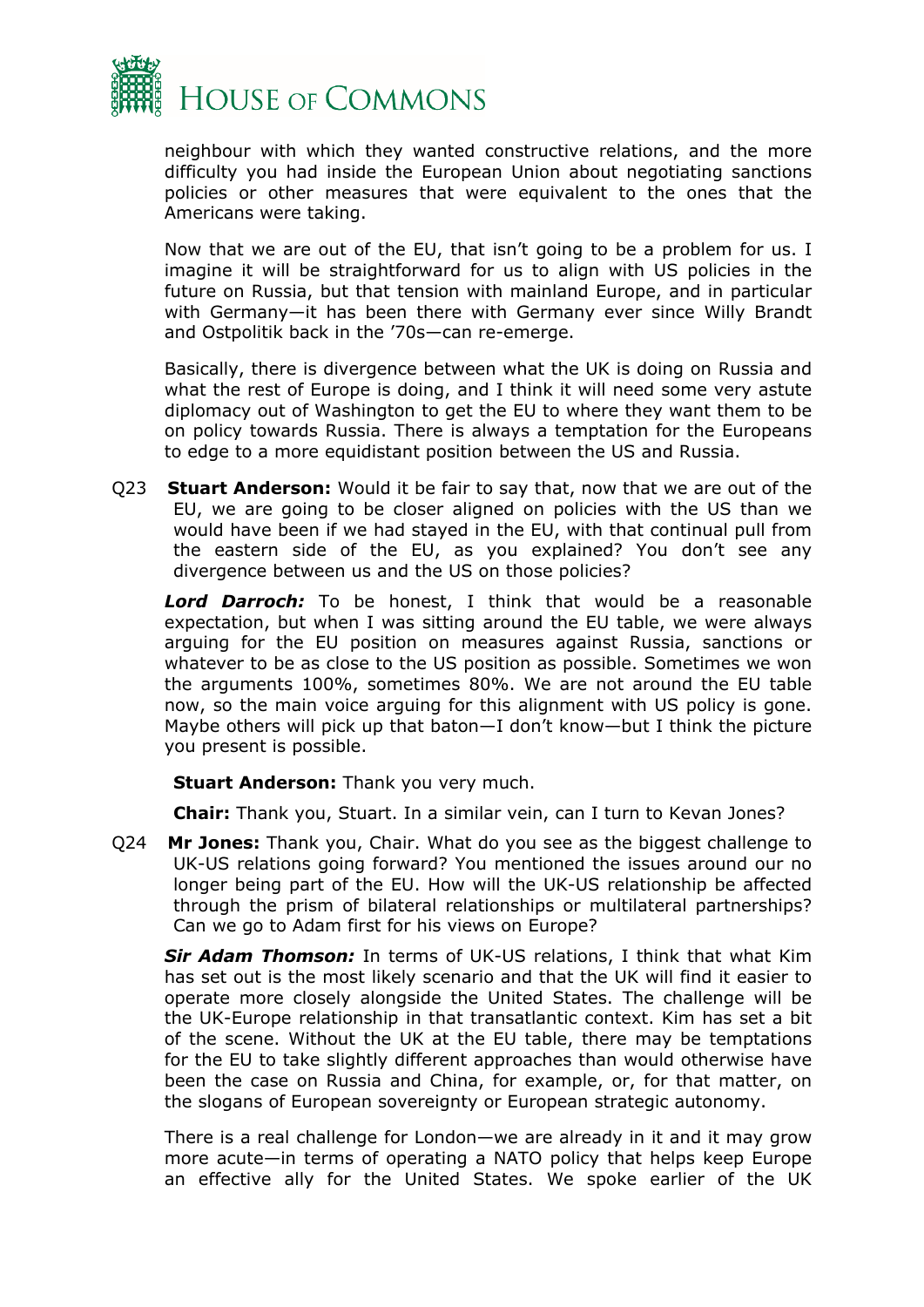

neighbour with which they wanted constructive relations, and the more difficulty you had inside the European Union about negotiating sanctions policies or other measures that were equivalent to the ones that the Americans were taking.

Now that we are out of the EU, that isn't going to be a problem for us. I imagine it will be straightforward for us to align with US policies in the future on Russia, but that tension with mainland Europe, and in particular with Germany—it has been there with Germany ever since Willy Brandt and Ostpolitik back in the '70s—can re-emerge.

Basically, there is divergence between what the UK is doing on Russia and what the rest of Europe is doing, and I think it will need some very astute diplomacy out of Washington to get the EU to where they want them to be on policy towards Russia. There is always a temptation for the Europeans to edge to a more equidistant position between the US and Russia.

Q23 **Stuart Anderson:** Would it be fair to say that, now that we are out of the EU, we are going to be closer aligned on policies with the US than we would have been if we had stayed in the EU, with that continual pull from the eastern side of the EU, as you explained? You don't see any divergence between us and the US on those policies?

*Lord Darroch:* To be honest, I think that would be a reasonable expectation, but when I was sitting around the EU table, we were always arguing for the EU position on measures against Russia, sanctions or whatever to be as close to the US position as possible. Sometimes we won the arguments 100%, sometimes 80%. We are not around the EU table now, so the main voice arguing for this alignment with US policy is gone. Maybe others will pick up that baton—I don't know—but I think the picture you present is possible.

**Stuart Anderson:** Thank you very much.

**Chair:** Thank you, Stuart. In a similar vein, can I turn to Kevan Jones?

Q24 **Mr Jones:** Thank you, Chair. What do you see as the biggest challenge to UK-US relations going forward? You mentioned the issues around our no longer being part of the EU. How will the UK-US relationship be affected through the prism of bilateral relationships or multilateral partnerships? Can we go to Adam first for his views on Europe?

*Sir Adam Thomson:* In terms of UK-US relations, I think that what Kim has set out is the most likely scenario and that the UK will find it easier to operate more closely alongside the United States. The challenge will be the UK-Europe relationship in that transatlantic context. Kim has set a bit of the scene. Without the UK at the EU table, there may be temptations for the EU to take slightly different approaches than would otherwise have been the case on Russia and China, for example, or, for that matter, on the slogans of European sovereignty or European strategic autonomy.

There is a real challenge for London—we are already in it and it may grow more acute—in terms of operating a NATO policy that helps keep Europe an effective ally for the United States. We spoke earlier of the UK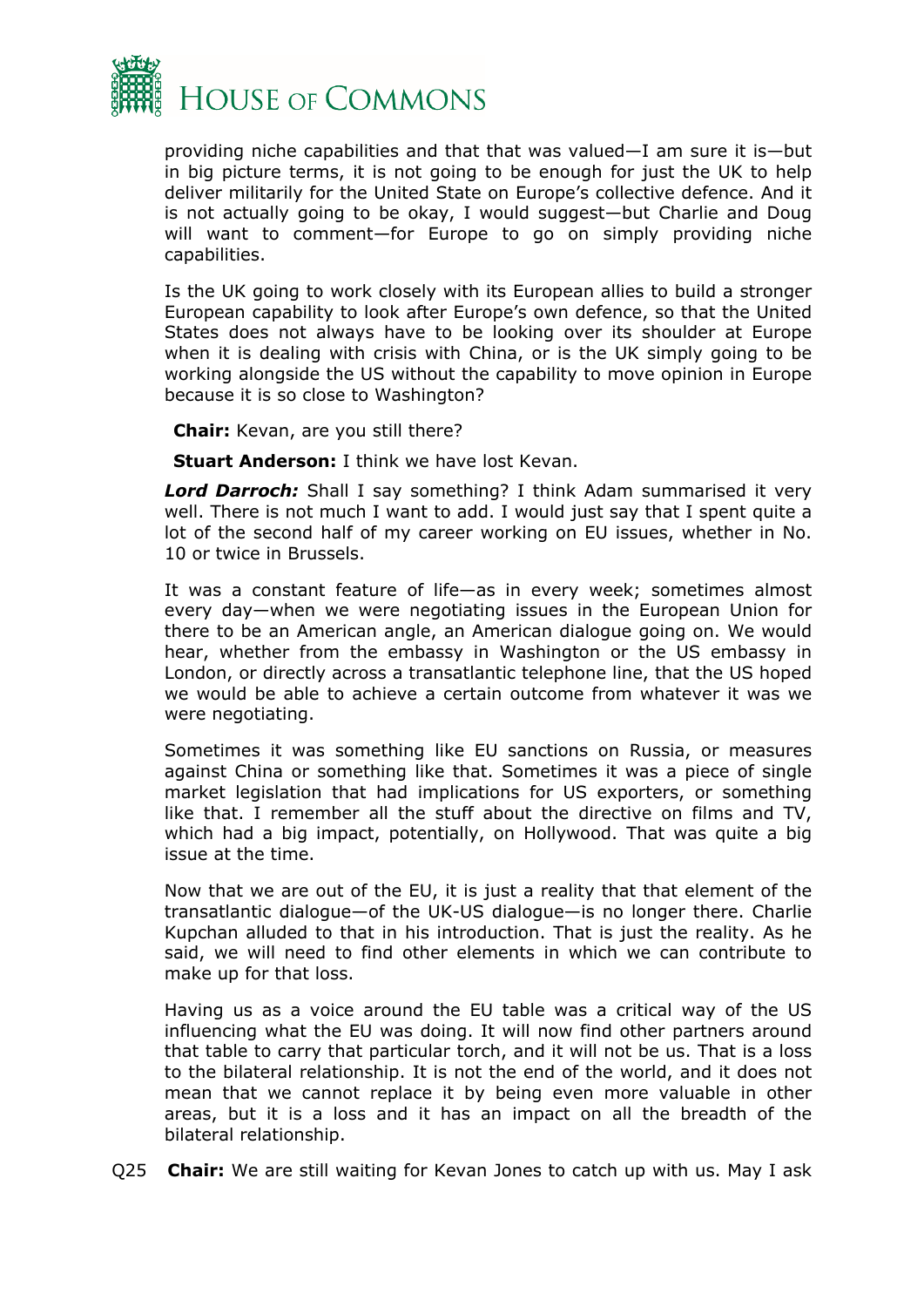

providing niche capabilities and that that was valued—I am sure it is—but in big picture terms, it is not going to be enough for just the UK to help deliver militarily for the United State on Europe's collective defence. And it is not actually going to be okay, I would suggest—but Charlie and Doug will want to comment—for Europe to go on simply providing niche capabilities.

Is the UK going to work closely with its European allies to build a stronger European capability to look after Europe's own defence, so that the United States does not always have to be looking over its shoulder at Europe when it is dealing with crisis with China, or is the UK simply going to be working alongside the US without the capability to move opinion in Europe because it is so close to Washington?

**Chair:** Kevan, are you still there?

**Stuart Anderson:** I think we have lost Kevan.

*Lord Darroch:* Shall I say something? I think Adam summarised it very well. There is not much I want to add. I would just say that I spent quite a lot of the second half of my career working on EU issues, whether in No. 10 or twice in Brussels.

It was a constant feature of life—as in every week; sometimes almost every day—when we were negotiating issues in the European Union for there to be an American angle, an American dialogue going on. We would hear, whether from the embassy in Washington or the US embassy in London, or directly across a transatlantic telephone line, that the US hoped we would be able to achieve a certain outcome from whatever it was we were negotiating.

Sometimes it was something like EU sanctions on Russia, or measures against China or something like that. Sometimes it was a piece of single market legislation that had implications for US exporters, or something like that. I remember all the stuff about the directive on films and TV, which had a big impact, potentially, on Hollywood. That was quite a big issue at the time.

Now that we are out of the EU, it is just a reality that that element of the transatlantic dialogue—of the UK-US dialogue—is no longer there. Charlie Kupchan alluded to that in his introduction. That is just the reality. As he said, we will need to find other elements in which we can contribute to make up for that loss.

Having us as a voice around the EU table was a critical way of the US influencing what the EU was doing. It will now find other partners around that table to carry that particular torch, and it will not be us. That is a loss to the bilateral relationship. It is not the end of the world, and it does not mean that we cannot replace it by being even more valuable in other areas, but it is a loss and it has an impact on all the breadth of the bilateral relationship.

Q25 **Chair:** We are still waiting for Kevan Jones to catch up with us. May I ask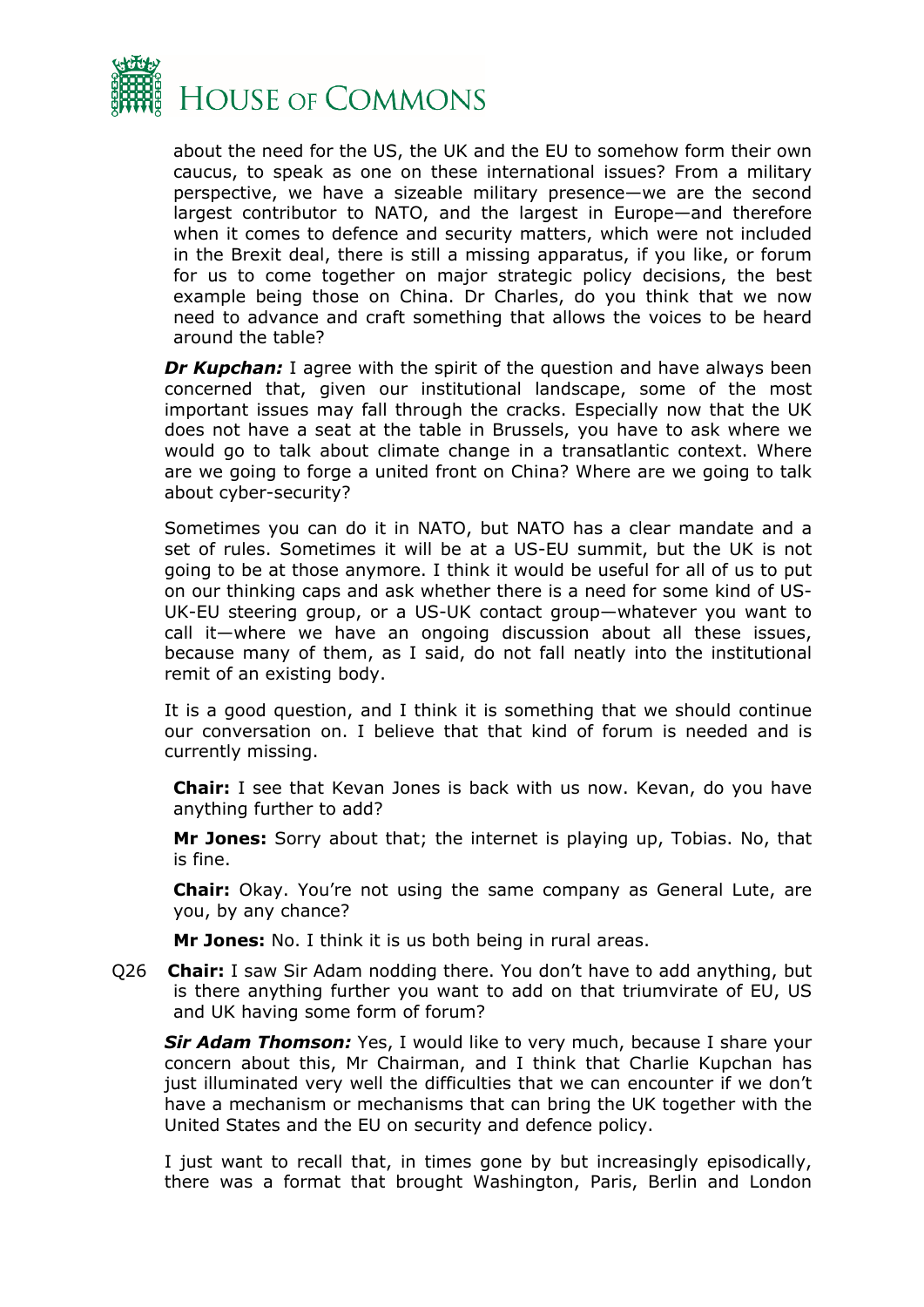

about the need for the US, the UK and the EU to somehow form their own caucus, to speak as one on these international issues? From a military perspective, we have a sizeable military presence—we are the second largest contributor to NATO, and the largest in Europe—and therefore when it comes to defence and security matters, which were not included in the Brexit deal, there is still a missing apparatus, if you like, or forum for us to come together on major strategic policy decisions, the best example being those on China. Dr Charles, do you think that we now need to advance and craft something that allows the voices to be heard around the table?

*Dr Kupchan:* I agree with the spirit of the question and have always been concerned that, given our institutional landscape, some of the most important issues may fall through the cracks. Especially now that the UK does not have a seat at the table in Brussels, you have to ask where we would go to talk about climate change in a transatlantic context. Where are we going to forge a united front on China? Where are we going to talk about cyber-security?

Sometimes you can do it in NATO, but NATO has a clear mandate and a set of rules. Sometimes it will be at a US-EU summit, but the UK is not going to be at those anymore. I think it would be useful for all of us to put on our thinking caps and ask whether there is a need for some kind of US-UK-EU steering group, or a US-UK contact group—whatever you want to call it—where we have an ongoing discussion about all these issues, because many of them, as I said, do not fall neatly into the institutional remit of an existing body.

It is a good question, and I think it is something that we should continue our conversation on. I believe that that kind of forum is needed and is currently missing.

**Chair:** I see that Kevan Jones is back with us now. Kevan, do you have anything further to add?

**Mr Jones:** Sorry about that; the internet is playing up, Tobias. No, that is fine.

**Chair:** Okay. You're not using the same company as General Lute, are you, by any chance?

**Mr Jones:** No. I think it is us both being in rural areas.

Q26 **Chair:** I saw Sir Adam nodding there. You don't have to add anything, but is there anything further you want to add on that triumvirate of EU, US and UK having some form of forum?

*Sir Adam Thomson:* Yes, I would like to very much, because I share your concern about this, Mr Chairman, and I think that Charlie Kupchan has just illuminated very well the difficulties that we can encounter if we don't have a mechanism or mechanisms that can bring the UK together with the United States and the EU on security and defence policy.

I just want to recall that, in times gone by but increasingly episodically, there was a format that brought Washington, Paris, Berlin and London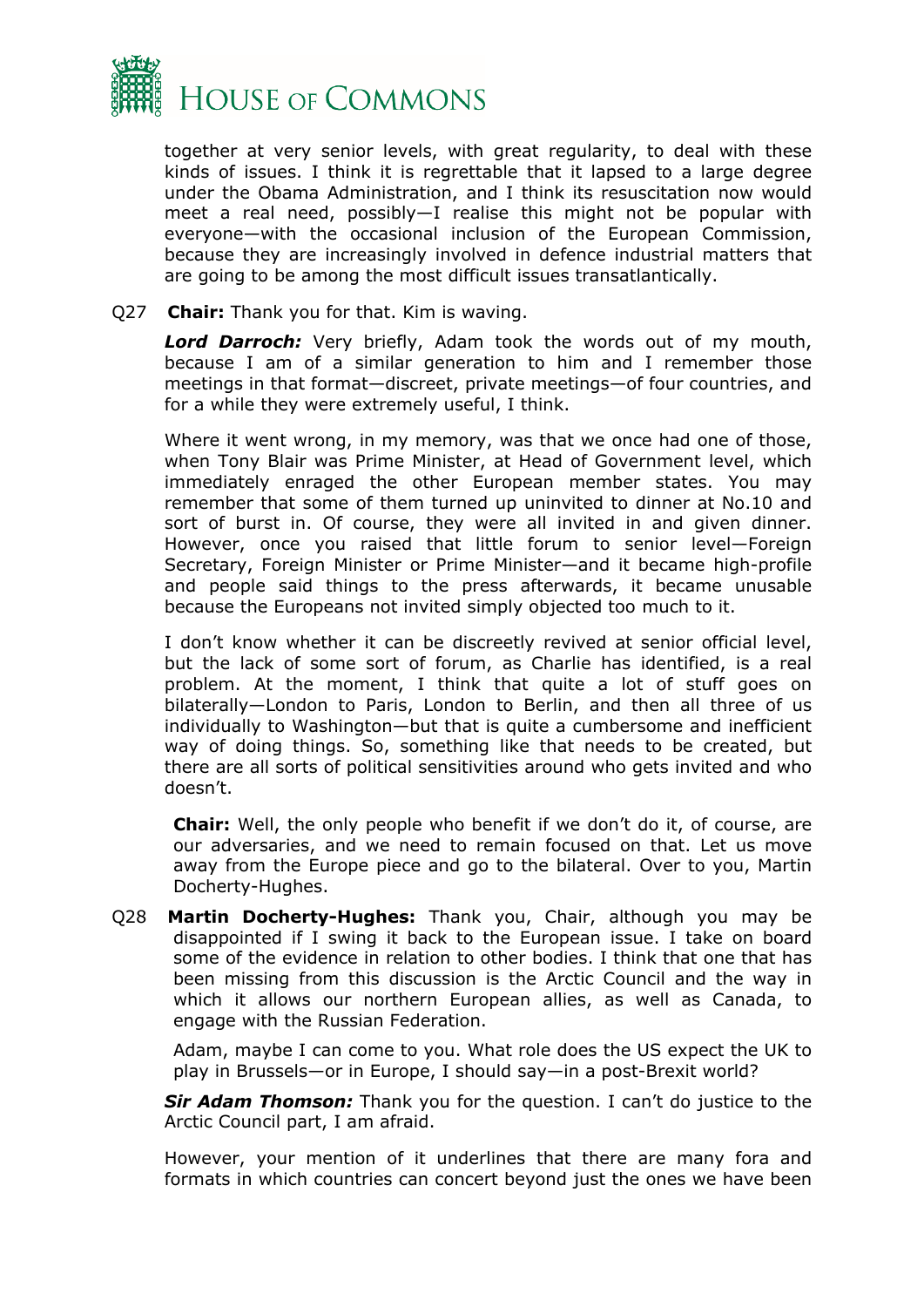

together at very senior levels, with great regularity, to deal with these kinds of issues. I think it is regrettable that it lapsed to a large degree under the Obama Administration, and I think its resuscitation now would meet a real need, possibly—I realise this might not be popular with everyone—with the occasional inclusion of the European Commission, because they are increasingly involved in defence industrial matters that are going to be among the most difficult issues transatlantically.

Q27 **Chair:** Thank you for that. Kim is waving.

*Lord Darroch:* Very briefly, Adam took the words out of my mouth, because I am of a similar generation to him and I remember those meetings in that format—discreet, private meetings—of four countries, and for a while they were extremely useful, I think.

Where it went wrong, in my memory, was that we once had one of those, when Tony Blair was Prime Minister, at Head of Government level, which immediately enraged the other European member states. You may remember that some of them turned up uninvited to dinner at No.10 and sort of burst in. Of course, they were all invited in and given dinner. However, once you raised that little forum to senior level—Foreign Secretary, Foreign Minister or Prime Minister—and it became high-profile and people said things to the press afterwards, it became unusable because the Europeans not invited simply objected too much to it.

I don't know whether it can be discreetly revived at senior official level, but the lack of some sort of forum, as Charlie has identified, is a real problem. At the moment, I think that quite a lot of stuff goes on bilaterally—London to Paris, London to Berlin, and then all three of us individually to Washington—but that is quite a cumbersome and inefficient way of doing things. So, something like that needs to be created, but there are all sorts of political sensitivities around who gets invited and who doesn't.

**Chair:** Well, the only people who benefit if we don't do it, of course, are our adversaries, and we need to remain focused on that. Let us move away from the Europe piece and go to the bilateral. Over to you, Martin Docherty-Hughes.

Q28 **Martin Docherty-Hughes:** Thank you, Chair, although you may be disappointed if I swing it back to the European issue. I take on board some of the evidence in relation to other bodies. I think that one that has been missing from this discussion is the Arctic Council and the way in which it allows our northern European allies, as well as Canada, to engage with the Russian Federation.

Adam, maybe I can come to you. What role does the US expect the UK to play in Brussels—or in Europe, I should say—in a post-Brexit world?

*Sir Adam Thomson:* Thank you for the question. I can't do justice to the Arctic Council part, I am afraid.

However, your mention of it underlines that there are many fora and formats in which countries can concert beyond just the ones we have been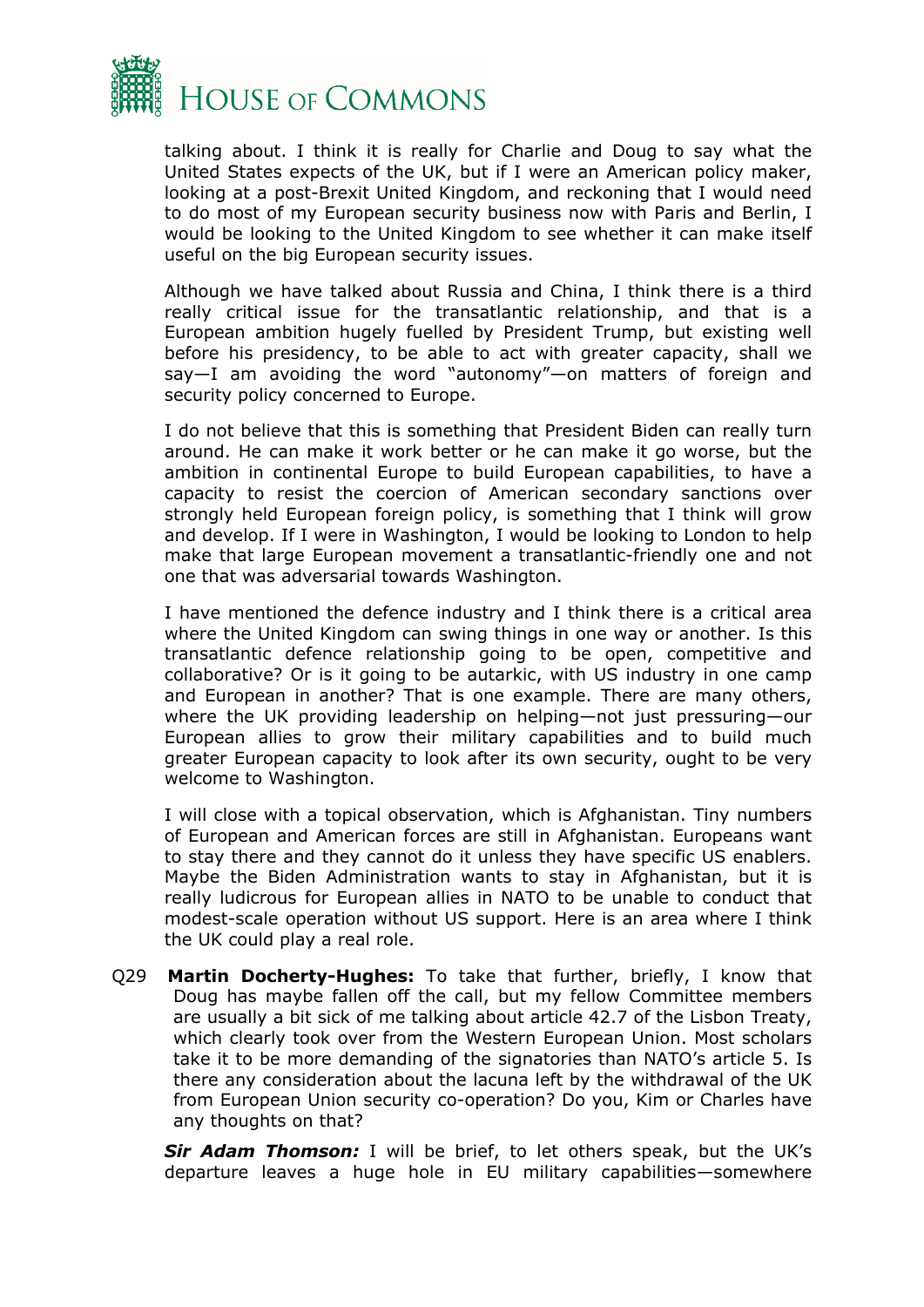

talking about. I think it is really for Charlie and Doug to say what the United States expects of the UK, but if I were an American policy maker, looking at a post-Brexit United Kingdom, and reckoning that I would need to do most of my European security business now with Paris and Berlin, I would be looking to the United Kingdom to see whether it can make itself useful on the big European security issues.

Although we have talked about Russia and China, I think there is a third really critical issue for the transatlantic relationship, and that is a European ambition hugely fuelled by President Trump, but existing well before his presidency, to be able to act with greater capacity, shall we say—I am avoiding the word "autonomy"—on matters of foreign and security policy concerned to Europe.

I do not believe that this is something that President Biden can really turn around. He can make it work better or he can make it go worse, but the ambition in continental Europe to build European capabilities, to have a capacity to resist the coercion of American secondary sanctions over strongly held European foreign policy, is something that I think will grow and develop. If I were in Washington, I would be looking to London to help make that large European movement a transatlantic-friendly one and not one that was adversarial towards Washington.

I have mentioned the defence industry and I think there is a critical area where the United Kingdom can swing things in one way or another. Is this transatlantic defence relationship going to be open, competitive and collaborative? Or is it going to be autarkic, with US industry in one camp and European in another? That is one example. There are many others, where the UK providing leadership on helping—not just pressuring—our European allies to grow their military capabilities and to build much greater European capacity to look after its own security, ought to be very welcome to Washington.

I will close with a topical observation, which is Afghanistan. Tiny numbers of European and American forces are still in Afghanistan. Europeans want to stay there and they cannot do it unless they have specific US enablers. Maybe the Biden Administration wants to stay in Afghanistan, but it is really ludicrous for European allies in NATO to be unable to conduct that modest-scale operation without US support. Here is an area where I think the UK could play a real role.

Q29 **Martin Docherty-Hughes:** To take that further, briefly, I know that Doug has maybe fallen off the call, but my fellow Committee members are usually a bit sick of me talking about article 42.7 of the Lisbon Treaty, which clearly took over from the Western European Union. Most scholars take it to be more demanding of the signatories than NATO's article 5. Is there any consideration about the lacuna left by the withdrawal of the UK from European Union security co-operation? Do you, Kim or Charles have any thoughts on that?

*Sir Adam Thomson:* I will be brief, to let others speak, but the UK's departure leaves a huge hole in EU military capabilities—somewhere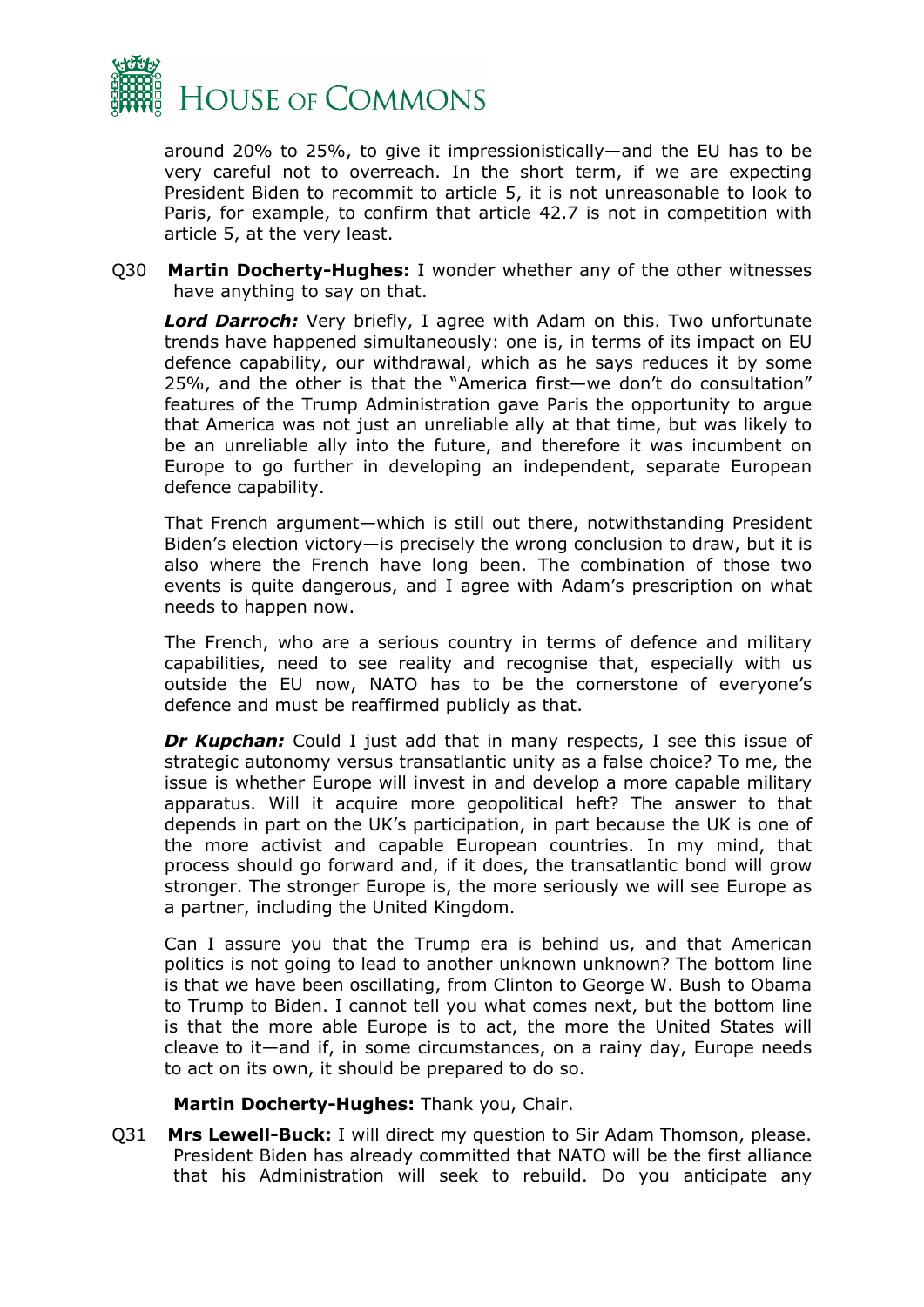

around 20% to 25%, to give it impressionistically—and the EU has to be very careful not to overreach. In the short term, if we are expecting President Biden to recommit to article 5, it is not unreasonable to look to Paris, for example, to confirm that article 42.7 is not in competition with article 5, at the very least.

Q30 **Martin Docherty-Hughes:** I wonder whether any of the other witnesses have anything to say on that.

*Lord Darroch:* Very briefly, I agree with Adam on this. Two unfortunate trends have happened simultaneously: one is, in terms of its impact on EU defence capability, our withdrawal, which as he says reduces it by some 25%, and the other is that the "America first—we don't do consultation" features of the Trump Administration gave Paris the opportunity to argue that America was not just an unreliable ally at that time, but was likely to be an unreliable ally into the future, and therefore it was incumbent on Europe to go further in developing an independent, separate European defence capability.

That French argument—which is still out there, notwithstanding President Biden's election victory—is precisely the wrong conclusion to draw, but it is also where the French have long been. The combination of those two events is quite dangerous, and I agree with Adam's prescription on what needs to happen now.

The French, who are a serious country in terms of defence and military capabilities, need to see reality and recognise that, especially with us outside the EU now, NATO has to be the cornerstone of everyone's defence and must be reaffirmed publicly as that.

**Dr Kupchan:** Could I just add that in many respects, I see this issue of strategic autonomy versus transatlantic unity as a false choice? To me, the issue is whether Europe will invest in and develop a more capable military apparatus. Will it acquire more geopolitical heft? The answer to that depends in part on the UK's participation, in part because the UK is one of the more activist and capable European countries. In my mind, that process should go forward and, if it does, the transatlantic bond will grow stronger. The stronger Europe is, the more seriously we will see Europe as a partner, including the United Kingdom.

Can I assure you that the Trump era is behind us, and that American politics is not going to lead to another unknown unknown? The bottom line is that we have been oscillating, from Clinton to George W. Bush to Obama to Trump to Biden. I cannot tell you what comes next, but the bottom line is that the more able Europe is to act, the more the United States will cleave to it—and if, in some circumstances, on a rainy day, Europe needs to act on its own, it should be prepared to do so.

#### **Martin Docherty-Hughes:** Thank you, Chair.

Q31 **Mrs Lewell-Buck:** I will direct my question to Sir Adam Thomson, please. President Biden has already committed that NATO will be the first alliance that his Administration will seek to rebuild. Do you anticipate any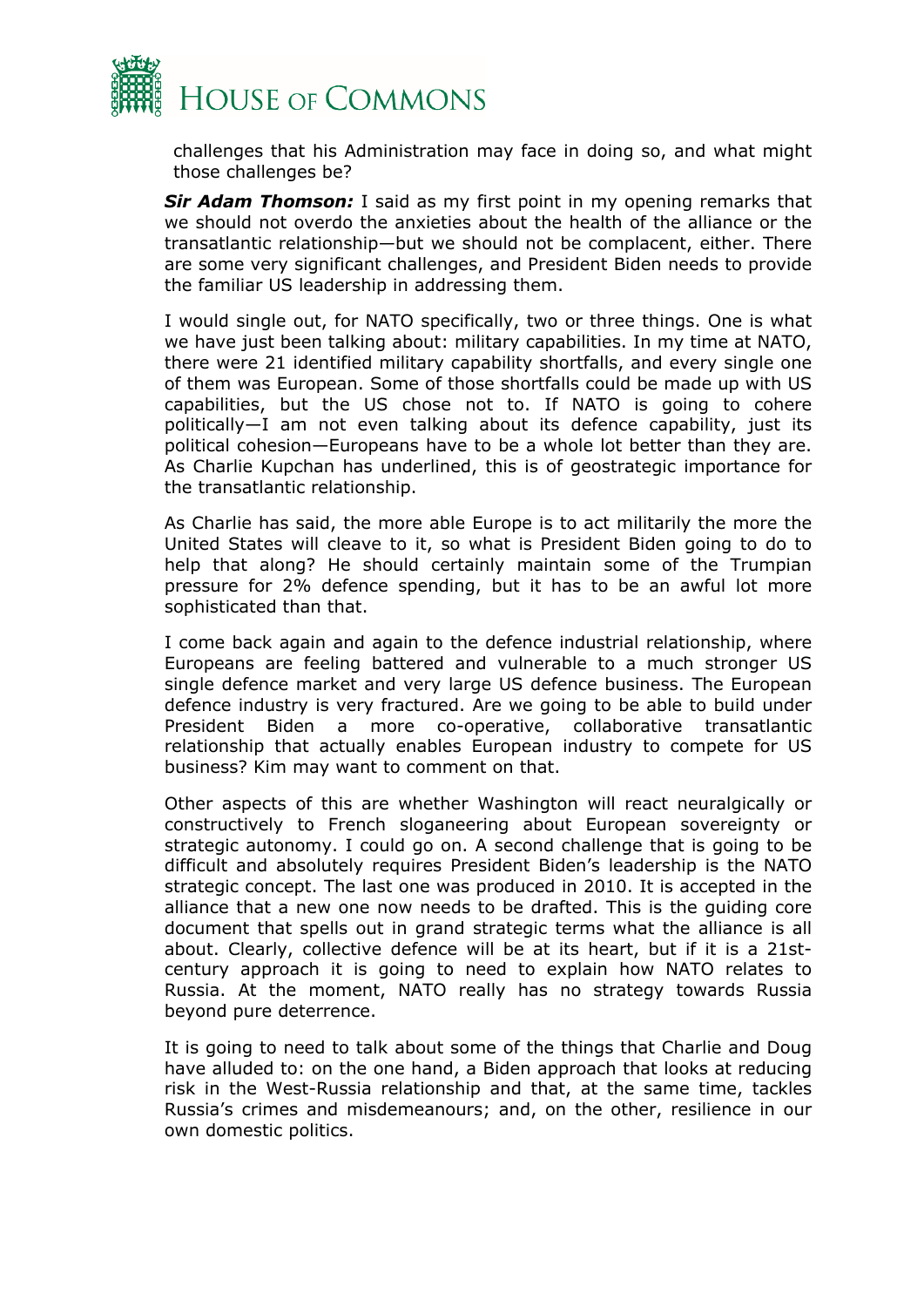

challenges that his Administration may face in doing so, and what might those challenges be?

*Sir Adam Thomson:* I said as my first point in my opening remarks that we should not overdo the anxieties about the health of the alliance or the transatlantic relationship—but we should not be complacent, either. There are some very significant challenges, and President Biden needs to provide the familiar US leadership in addressing them.

I would single out, for NATO specifically, two or three things. One is what we have just been talking about: military capabilities. In my time at NATO, there were 21 identified military capability shortfalls, and every single one of them was European. Some of those shortfalls could be made up with US capabilities, but the US chose not to. If NATO is going to cohere politically—I am not even talking about its defence capability, just its political cohesion—Europeans have to be a whole lot better than they are. As Charlie Kupchan has underlined, this is of geostrategic importance for the transatlantic relationship.

As Charlie has said, the more able Europe is to act militarily the more the United States will cleave to it, so what is President Biden going to do to help that along? He should certainly maintain some of the Trumpian pressure for 2% defence spending, but it has to be an awful lot more sophisticated than that.

I come back again and again to the defence industrial relationship, where Europeans are feeling battered and vulnerable to a much stronger US single defence market and very large US defence business. The European defence industry is very fractured. Are we going to be able to build under President Biden a more co-operative, collaborative transatlantic relationship that actually enables European industry to compete for US business? Kim may want to comment on that.

Other aspects of this are whether Washington will react neuralgically or constructively to French sloganeering about European sovereignty or strategic autonomy. I could go on. A second challenge that is going to be difficult and absolutely requires President Biden's leadership is the NATO strategic concept. The last one was produced in 2010. It is accepted in the alliance that a new one now needs to be drafted. This is the guiding core document that spells out in grand strategic terms what the alliance is all about. Clearly, collective defence will be at its heart, but if it is a 21stcentury approach it is going to need to explain how NATO relates to Russia. At the moment, NATO really has no strategy towards Russia beyond pure deterrence.

It is going to need to talk about some of the things that Charlie and Doug have alluded to: on the one hand, a Biden approach that looks at reducing risk in the West-Russia relationship and that, at the same time, tackles Russia's crimes and misdemeanours; and, on the other, resilience in our own domestic politics.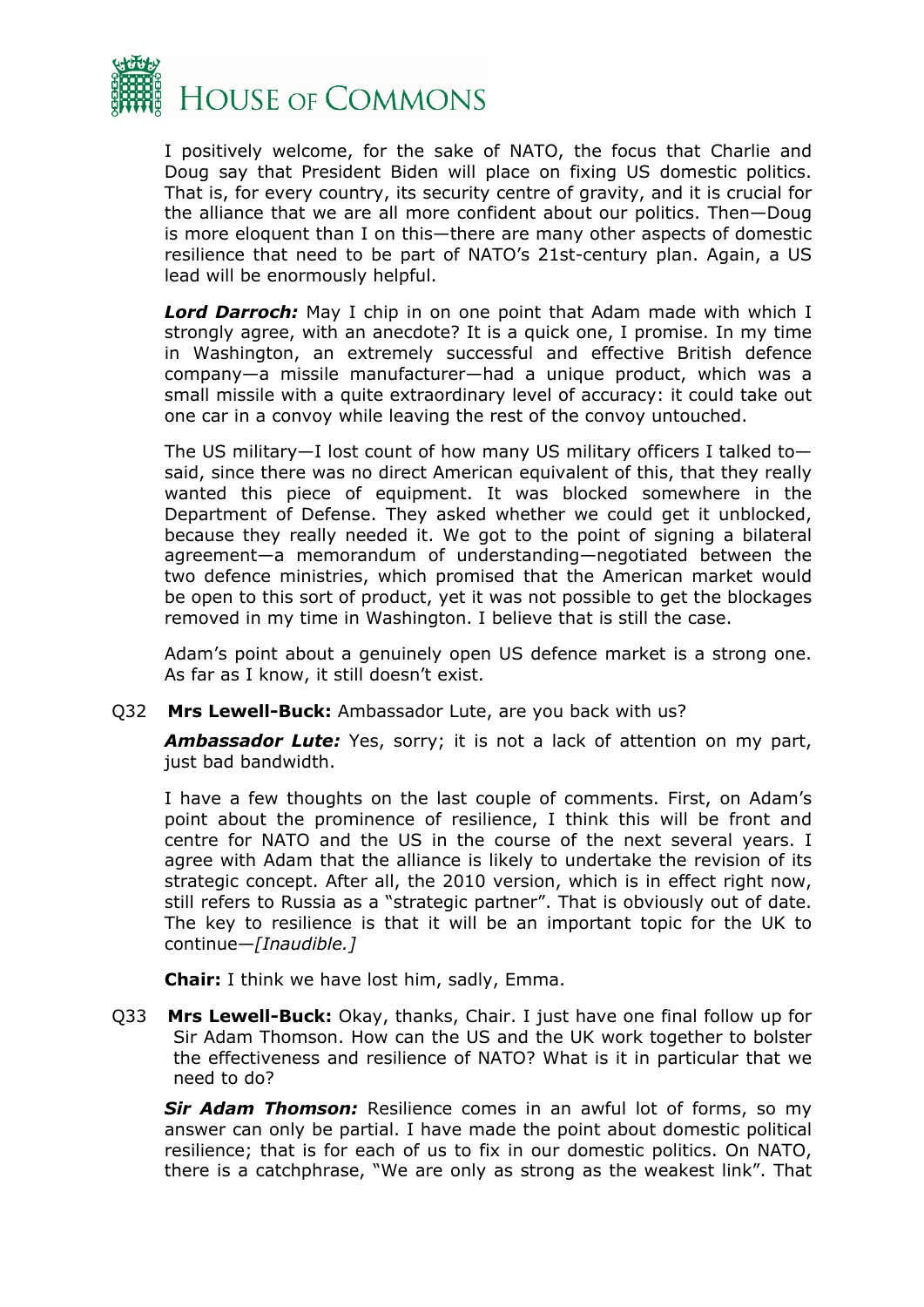

I positively welcome, for the sake of NATO, the focus that Charlie and Doug say that President Biden will place on fixing US domestic politics. That is, for every country, its security centre of gravity, and it is crucial for the alliance that we are all more confident about our politics. Then—Doug is more eloquent than I on this—there are many other aspects of domestic resilience that need to be part of NATO's 21st-century plan. Again, a US lead will be enormously helpful.

*Lord Darroch:* May I chip in on one point that Adam made with which I strongly agree, with an anecdote? It is a quick one, I promise. In my time in Washington, an extremely successful and effective British defence company—a missile manufacturer—had a unique product, which was a small missile with a quite extraordinary level of accuracy: it could take out one car in a convoy while leaving the rest of the convoy untouched.

The US military—I lost count of how many US military officers I talked to said, since there was no direct American equivalent of this, that they really wanted this piece of equipment. It was blocked somewhere in the Department of Defense. They asked whether we could get it unblocked, because they really needed it. We got to the point of signing a bilateral agreement—a memorandum of understanding—negotiated between the two defence ministries, which promised that the American market would be open to this sort of product, yet it was not possible to get the blockages removed in my time in Washington. I believe that is still the case.

Adam's point about a genuinely open US defence market is a strong one. As far as I know, it still doesn't exist.

Q32 **Mrs Lewell-Buck:** Ambassador Lute, are you back with us?

*Ambassador Lute:* Yes, sorry; it is not a lack of attention on my part, just bad bandwidth.

I have a few thoughts on the last couple of comments. First, on Adam's point about the prominence of resilience, I think this will be front and centre for NATO and the US in the course of the next several years. I agree with Adam that the alliance is likely to undertake the revision of its strategic concept. After all, the 2010 version, which is in effect right now, still refers to Russia as a "strategic partner". That is obviously out of date. The key to resilience is that it will be an important topic for the UK to continue—*[Inaudible.]*

**Chair:** I think we have lost him, sadly, Emma.

Q33 **Mrs Lewell-Buck:** Okay, thanks, Chair. I just have one final follow up for Sir Adam Thomson. How can the US and the UK work together to bolster the effectiveness and resilience of NATO? What is it in particular that we need to do?

*Sir Adam Thomson:* Resilience comes in an awful lot of forms, so my answer can only be partial. I have made the point about domestic political resilience; that is for each of us to fix in our domestic politics. On NATO, there is a catchphrase, "We are only as strong as the weakest link". That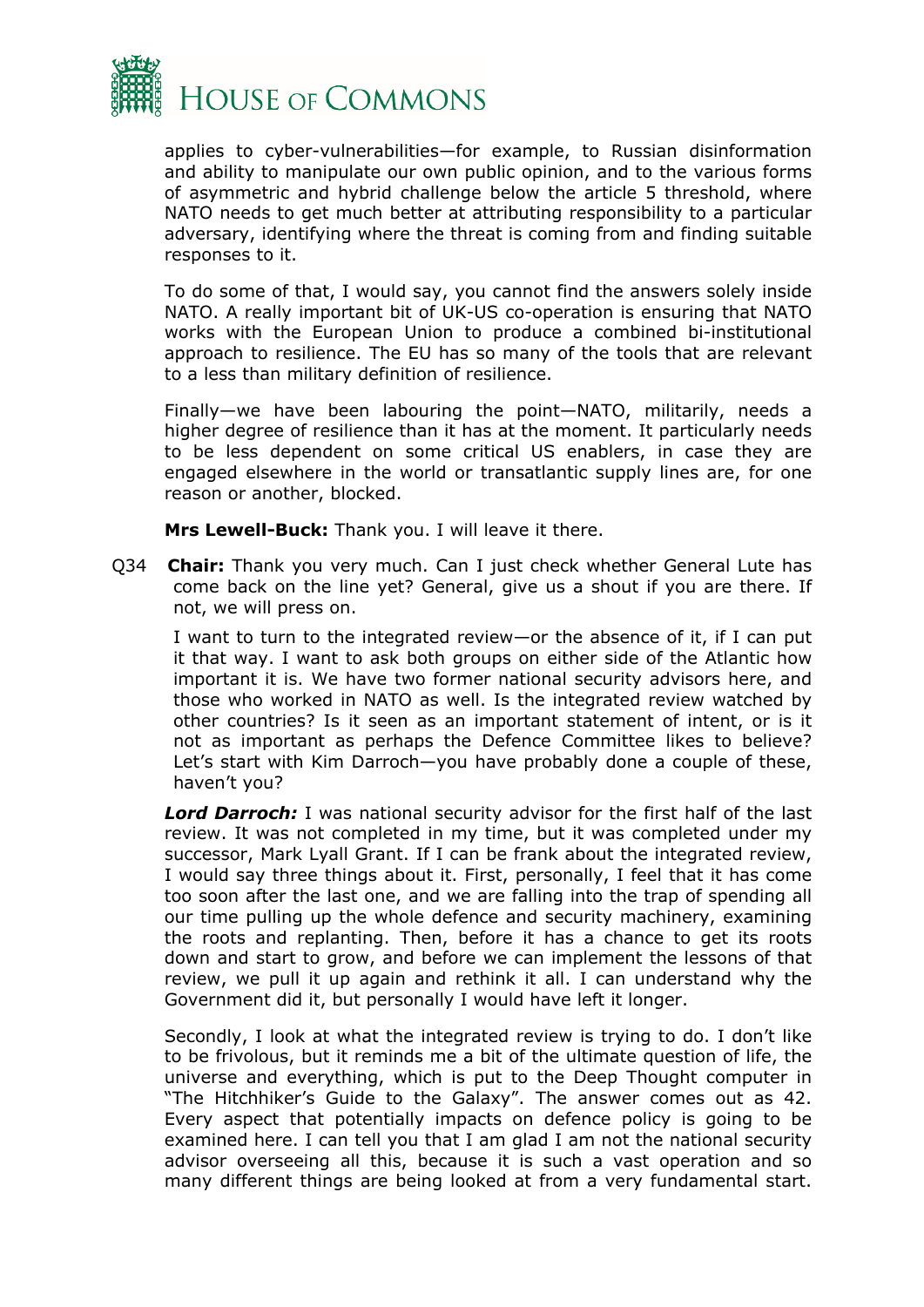

applies to cyber-vulnerabilities—for example, to Russian disinformation and ability to manipulate our own public opinion, and to the various forms of asymmetric and hybrid challenge below the article 5 threshold, where NATO needs to get much better at attributing responsibility to a particular adversary, identifying where the threat is coming from and finding suitable responses to it.

To do some of that, I would say, you cannot find the answers solely inside NATO. A really important bit of UK-US co-operation is ensuring that NATO works with the European Union to produce a combined bi-institutional approach to resilience. The EU has so many of the tools that are relevant to a less than military definition of resilience.

Finally—we have been labouring the point—NATO, militarily, needs a higher degree of resilience than it has at the moment. It particularly needs to be less dependent on some critical US enablers, in case they are engaged elsewhere in the world or transatlantic supply lines are, for one reason or another, blocked.

**Mrs Lewell-Buck:** Thank you. I will leave it there.

Q34 **Chair:** Thank you very much. Can I just check whether General Lute has come back on the line yet? General, give us a shout if you are there. If not, we will press on.

I want to turn to the integrated review—or the absence of it, if I can put it that way. I want to ask both groups on either side of the Atlantic how important it is. We have two former national security advisors here, and those who worked in NATO as well. Is the integrated review watched by other countries? Is it seen as an important statement of intent, or is it not as important as perhaps the Defence Committee likes to believe? Let's start with Kim Darroch—you have probably done a couple of these, haven't you?

*Lord Darroch:* I was national security advisor for the first half of the last review. It was not completed in my time, but it was completed under my successor, Mark Lyall Grant. If I can be frank about the integrated review, I would say three things about it. First, personally, I feel that it has come too soon after the last one, and we are falling into the trap of spending all our time pulling up the whole defence and security machinery, examining the roots and replanting. Then, before it has a chance to get its roots down and start to grow, and before we can implement the lessons of that review, we pull it up again and rethink it all. I can understand why the Government did it, but personally I would have left it longer.

Secondly, I look at what the integrated review is trying to do. I don't like to be frivolous, but it reminds me a bit of the ultimate question of life, the universe and everything, which is put to the Deep Thought computer in "The Hitchhiker's Guide to the Galaxy". The answer comes out as 42. Every aspect that potentially impacts on defence policy is going to be examined here. I can tell you that I am glad I am not the national security advisor overseeing all this, because it is such a vast operation and so many different things are being looked at from a very fundamental start.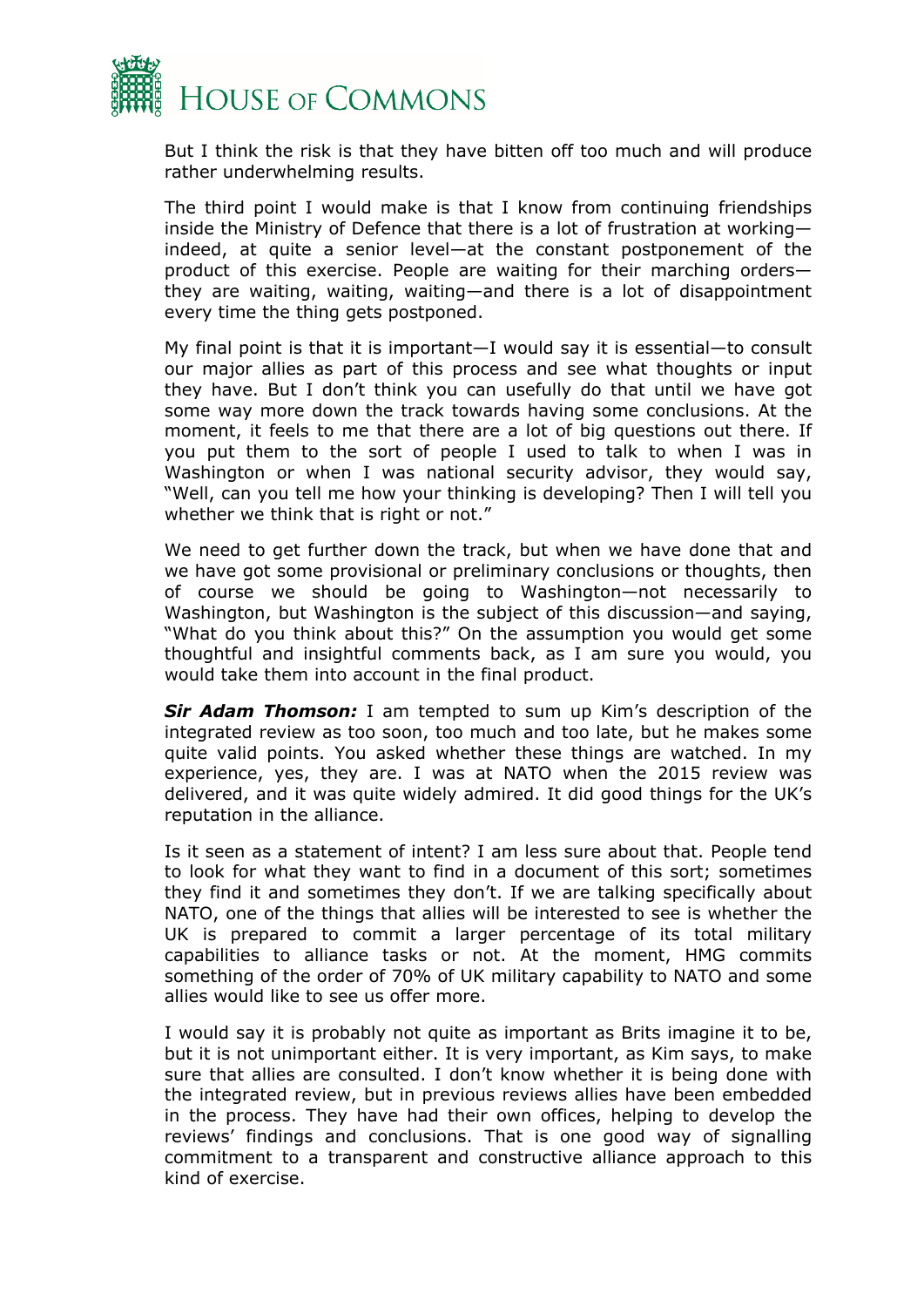

But I think the risk is that they have bitten off too much and will produce rather underwhelming results.

The third point I would make is that I know from continuing friendships inside the Ministry of Defence that there is a lot of frustration at working indeed, at quite a senior level—at the constant postponement of the product of this exercise. People are waiting for their marching orders they are waiting, waiting, waiting—and there is a lot of disappointment every time the thing gets postponed.

My final point is that it is important—I would say it is essential—to consult our major allies as part of this process and see what thoughts or input they have. But I don't think you can usefully do that until we have got some way more down the track towards having some conclusions. At the moment, it feels to me that there are a lot of big questions out there. If you put them to the sort of people I used to talk to when I was in Washington or when I was national security advisor, they would say, "Well, can you tell me how your thinking is developing? Then I will tell you whether we think that is right or not."

We need to get further down the track, but when we have done that and we have got some provisional or preliminary conclusions or thoughts, then of course we should be going to Washington—not necessarily to Washington, but Washington is the subject of this discussion—and saying, "What do you think about this?" On the assumption you would get some thoughtful and insightful comments back, as I am sure you would, you would take them into account in the final product.

*Sir Adam Thomson:* I am tempted to sum up Kim's description of the integrated review as too soon, too much and too late, but he makes some quite valid points. You asked whether these things are watched. In my experience, yes, they are. I was at NATO when the 2015 review was delivered, and it was quite widely admired. It did good things for the UK's reputation in the alliance.

Is it seen as a statement of intent? I am less sure about that. People tend to look for what they want to find in a document of this sort; sometimes they find it and sometimes they don't. If we are talking specifically about NATO, one of the things that allies will be interested to see is whether the UK is prepared to commit a larger percentage of its total military capabilities to alliance tasks or not. At the moment, HMG commits something of the order of 70% of UK military capability to NATO and some allies would like to see us offer more.

I would say it is probably not quite as important as Brits imagine it to be, but it is not unimportant either. It is very important, as Kim says, to make sure that allies are consulted. I don't know whether it is being done with the integrated review, but in previous reviews allies have been embedded in the process. They have had their own offices, helping to develop the reviews' findings and conclusions. That is one good way of signalling commitment to a transparent and constructive alliance approach to this kind of exercise.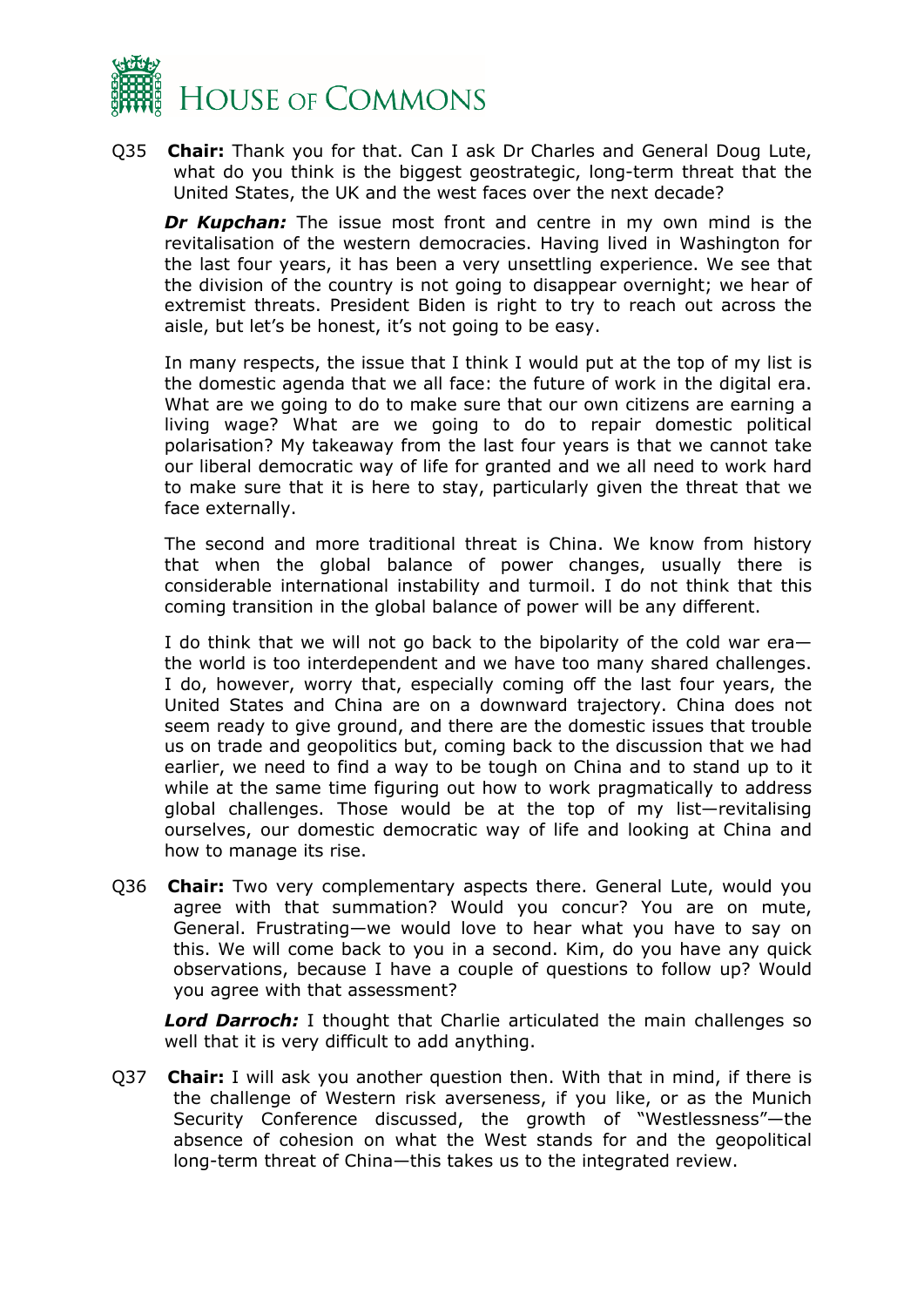

Q35 **Chair:** Thank you for that. Can I ask Dr Charles and General Doug Lute, what do you think is the biggest geostrategic, long-term threat that the United States, the UK and the west faces over the next decade?

*Dr Kupchan:* The issue most front and centre in my own mind is the revitalisation of the western democracies. Having lived in Washington for the last four years, it has been a very unsettling experience. We see that the division of the country is not going to disappear overnight; we hear of extremist threats. President Biden is right to try to reach out across the aisle, but let's be honest, it's not going to be easy.

In many respects, the issue that I think I would put at the top of my list is the domestic agenda that we all face: the future of work in the digital era. What are we going to do to make sure that our own citizens are earning a living wage? What are we going to do to repair domestic political polarisation? My takeaway from the last four years is that we cannot take our liberal democratic way of life for granted and we all need to work hard to make sure that it is here to stay, particularly given the threat that we face externally.

The second and more traditional threat is China. We know from history that when the global balance of power changes, usually there is considerable international instability and turmoil. I do not think that this coming transition in the global balance of power will be any different.

I do think that we will not go back to the bipolarity of the cold war era the world is too interdependent and we have too many shared challenges. I do, however, worry that, especially coming off the last four years, the United States and China are on a downward trajectory. China does not seem ready to give ground, and there are the domestic issues that trouble us on trade and geopolitics but, coming back to the discussion that we had earlier, we need to find a way to be tough on China and to stand up to it while at the same time figuring out how to work pragmatically to address global challenges. Those would be at the top of my list—revitalising ourselves, our domestic democratic way of life and looking at China and how to manage its rise.

Q36 **Chair:** Two very complementary aspects there. General Lute, would you agree with that summation? Would you concur? You are on mute, General. Frustrating—we would love to hear what you have to say on this. We will come back to you in a second. Kim, do you have any quick observations, because I have a couple of questions to follow up? Would you agree with that assessment?

*Lord Darroch:* I thought that Charlie articulated the main challenges so well that it is very difficult to add anything.

Q37 **Chair:** I will ask you another question then. With that in mind, if there is the challenge of Western risk averseness, if you like, or as the Munich Security Conference discussed, the growth of "Westlessness"—the absence of cohesion on what the West stands for and the geopolitical long-term threat of China—this takes us to the integrated review.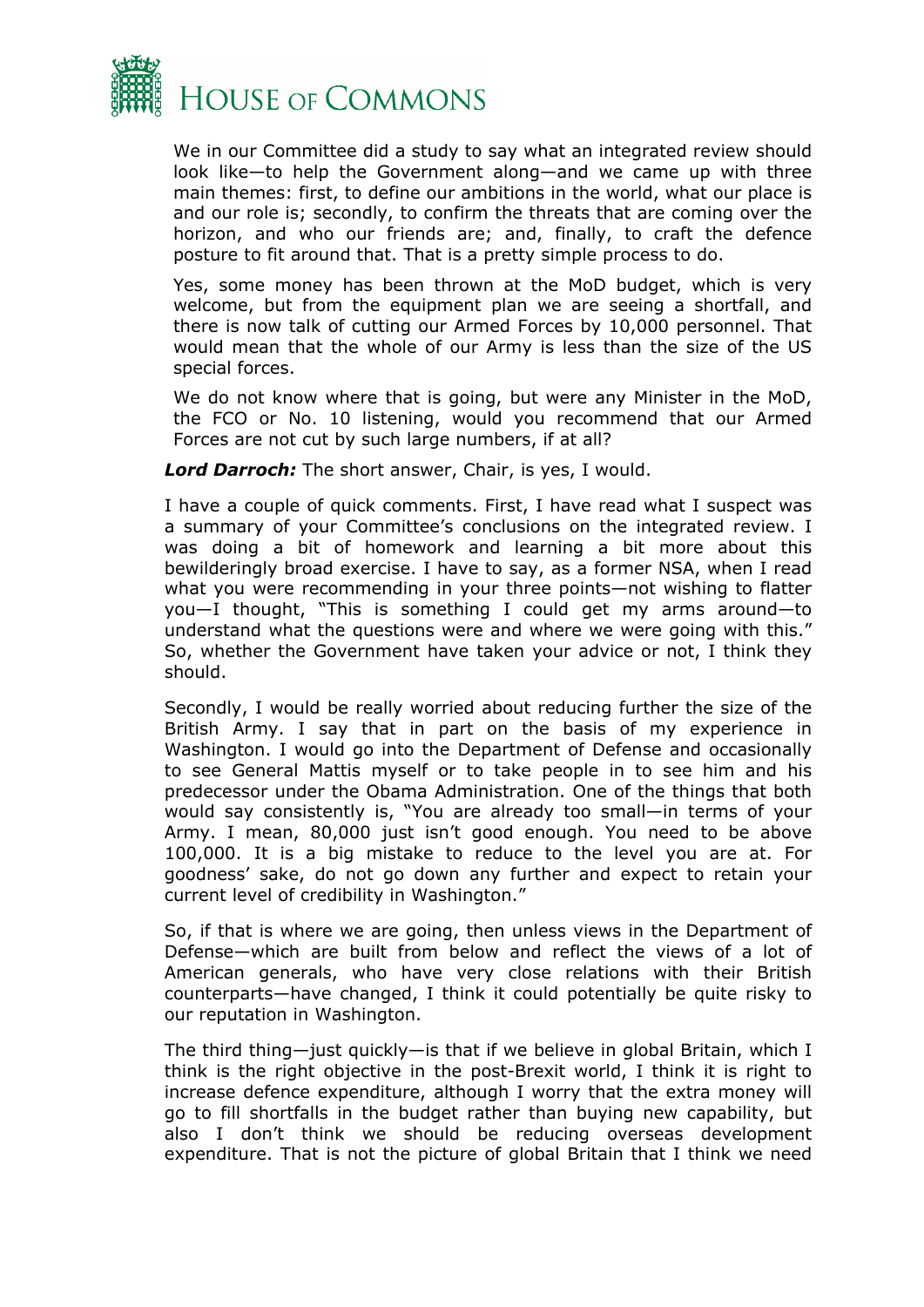

We in our Committee did a study to say what an integrated review should look like—to help the Government along—and we came up with three main themes: first, to define our ambitions in the world, what our place is and our role is; secondly, to confirm the threats that are coming over the horizon, and who our friends are; and, finally, to craft the defence posture to fit around that. That is a pretty simple process to do.

Yes, some money has been thrown at the MoD budget, which is very welcome, but from the equipment plan we are seeing a shortfall, and there is now talk of cutting our Armed Forces by 10,000 personnel. That would mean that the whole of our Army is less than the size of the US special forces.

We do not know where that is going, but were any Minister in the MoD, the FCO or No. 10 listening, would you recommend that our Armed Forces are not cut by such large numbers, if at all?

*Lord Darroch:* The short answer, Chair, is yes, I would.

I have a couple of quick comments. First, I have read what I suspect was a summary of your Committee's conclusions on the integrated review. I was doing a bit of homework and learning a bit more about this bewilderingly broad exercise. I have to say, as a former NSA, when I read what you were recommending in your three points—not wishing to flatter you—I thought, "This is something I could get my arms around—to understand what the questions were and where we were going with this." So, whether the Government have taken your advice or not, I think they should.

Secondly, I would be really worried about reducing further the size of the British Army. I say that in part on the basis of my experience in Washington. I would go into the Department of Defense and occasionally to see General Mattis myself or to take people in to see him and his predecessor under the Obama Administration. One of the things that both would say consistently is, "You are already too small—in terms of your Army. I mean, 80,000 just isn't good enough. You need to be above 100,000. It is a big mistake to reduce to the level you are at. For goodness' sake, do not go down any further and expect to retain your current level of credibility in Washington."

So, if that is where we are going, then unless views in the Department of Defense—which are built from below and reflect the views of a lot of American generals, who have very close relations with their British counterparts—have changed, I think it could potentially be quite risky to our reputation in Washington.

The third thing—just quickly—is that if we believe in global Britain, which I think is the right objective in the post-Brexit world, I think it is right to increase defence expenditure, although I worry that the extra money will go to fill shortfalls in the budget rather than buying new capability, but also I don't think we should be reducing overseas development expenditure. That is not the picture of global Britain that I think we need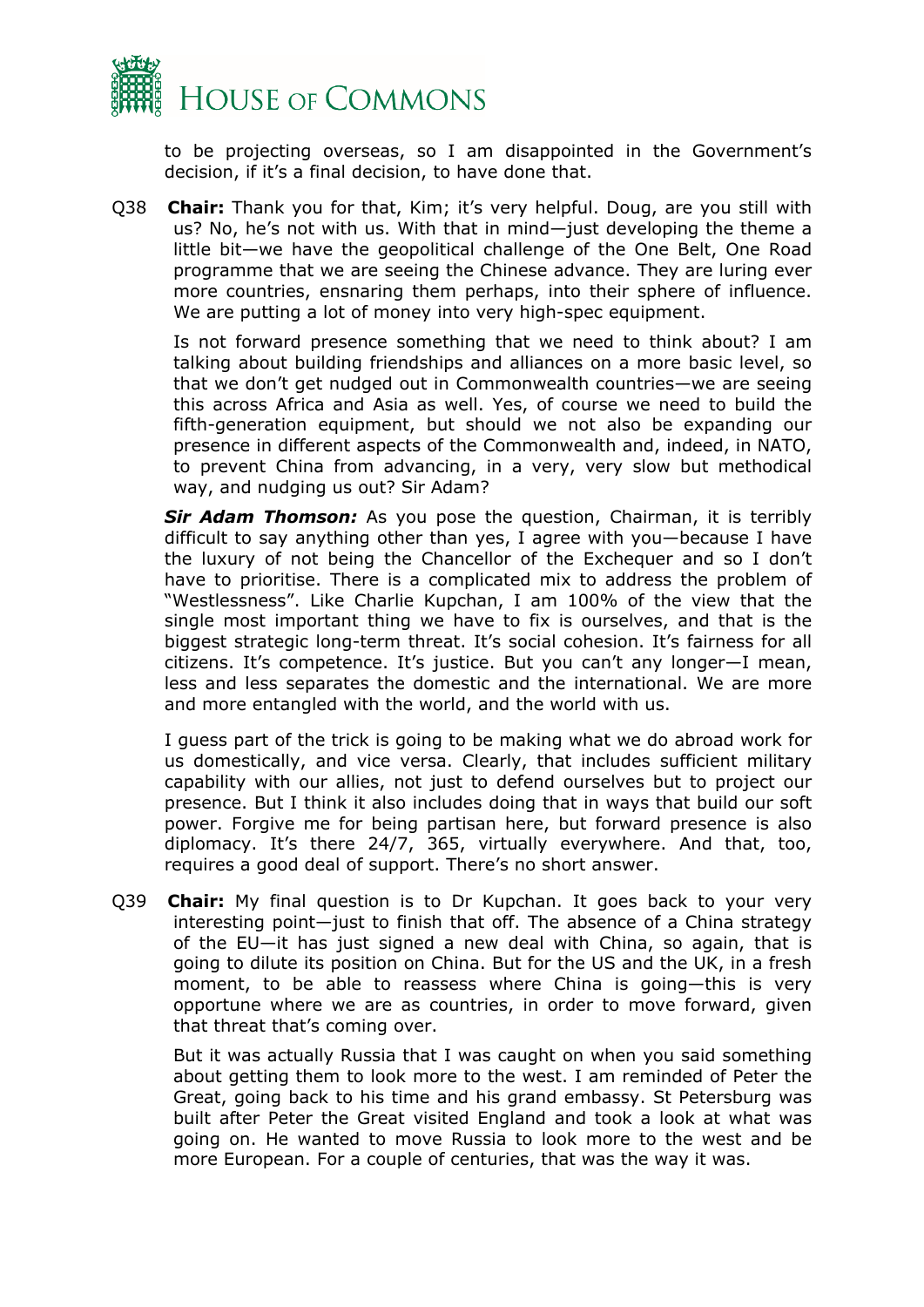

to be projecting overseas, so I am disappointed in the Government's decision, if it's a final decision, to have done that.

Q38 **Chair:** Thank you for that, Kim; it's very helpful. Doug, are you still with us? No, he's not with us. With that in mind—just developing the theme a little bit—we have the geopolitical challenge of the One Belt, One Road programme that we are seeing the Chinese advance. They are luring ever more countries, ensnaring them perhaps, into their sphere of influence. We are putting a lot of money into very high-spec equipment.

Is not forward presence something that we need to think about? I am talking about building friendships and alliances on a more basic level, so that we don't get nudged out in Commonwealth countries—we are seeing this across Africa and Asia as well. Yes, of course we need to build the fifth-generation equipment, but should we not also be expanding our presence in different aspects of the Commonwealth and, indeed, in NATO, to prevent China from advancing, in a very, very slow but methodical way, and nudging us out? Sir Adam?

*Sir Adam Thomson:* As you pose the question, Chairman, it is terribly difficult to say anything other than yes, I agree with you—because I have the luxury of not being the Chancellor of the Exchequer and so I don't have to prioritise. There is a complicated mix to address the problem of "Westlessness". Like Charlie Kupchan, I am 100% of the view that the single most important thing we have to fix is ourselves, and that is the biggest strategic long-term threat. It's social cohesion. It's fairness for all citizens. It's competence. It's justice. But you can't any longer—I mean, less and less separates the domestic and the international. We are more and more entangled with the world, and the world with us.

I guess part of the trick is going to be making what we do abroad work for us domestically, and vice versa. Clearly, that includes sufficient military capability with our allies, not just to defend ourselves but to project our presence. But I think it also includes doing that in ways that build our soft power. Forgive me for being partisan here, but forward presence is also diplomacy. It's there 24/7, 365, virtually everywhere. And that, too, requires a good deal of support. There's no short answer.

Q39 **Chair:** My final question is to Dr Kupchan. It goes back to your very interesting point—just to finish that off. The absence of a China strategy of the EU—it has just signed a new deal with China, so again, that is going to dilute its position on China. But for the US and the UK, in a fresh moment, to be able to reassess where China is going—this is very opportune where we are as countries, in order to move forward, given that threat that's coming over.

But it was actually Russia that I was caught on when you said something about getting them to look more to the west. I am reminded of Peter the Great, going back to his time and his grand embassy. St Petersburg was built after Peter the Great visited England and took a look at what was going on. He wanted to move Russia to look more to the west and be more European. For a couple of centuries, that was the way it was.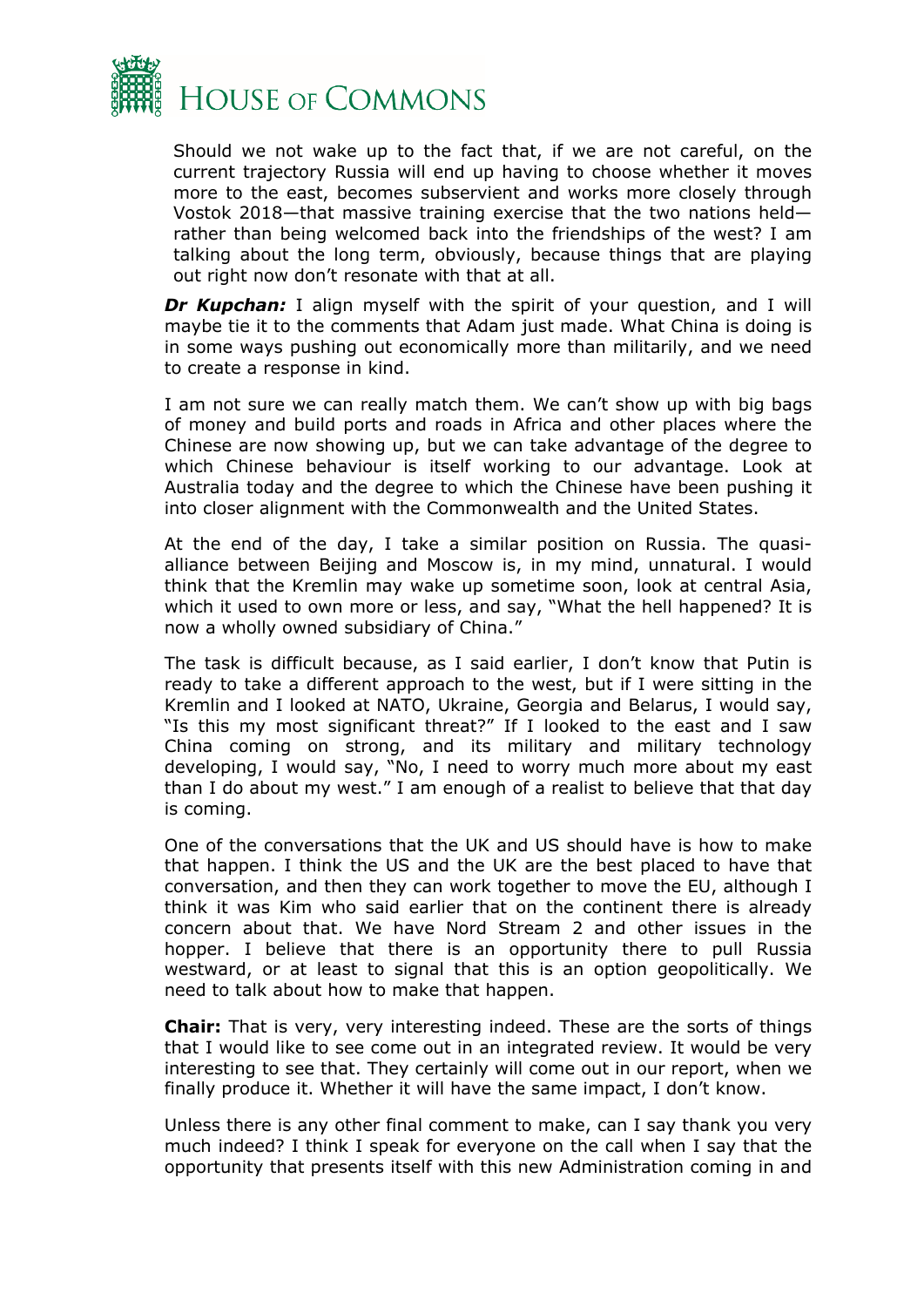

Should we not wake up to the fact that, if we are not careful, on the current trajectory Russia will end up having to choose whether it moves more to the east, becomes subservient and works more closely through Vostok 2018—that massive training exercise that the two nations held rather than being welcomed back into the friendships of the west? I am talking about the long term, obviously, because things that are playing out right now don't resonate with that at all.

**Dr Kupchan:** I align myself with the spirit of your question, and I will maybe tie it to the comments that Adam just made. What China is doing is in some ways pushing out economically more than militarily, and we need to create a response in kind.

I am not sure we can really match them. We can't show up with big bags of money and build ports and roads in Africa and other places where the Chinese are now showing up, but we can take advantage of the degree to which Chinese behaviour is itself working to our advantage. Look at Australia today and the degree to which the Chinese have been pushing it into closer alignment with the Commonwealth and the United States.

At the end of the day, I take a similar position on Russia. The quasialliance between Beijing and Moscow is, in my mind, unnatural. I would think that the Kremlin may wake up sometime soon, look at central Asia, which it used to own more or less, and say, "What the hell happened? It is now a wholly owned subsidiary of China."

The task is difficult because, as I said earlier, I don't know that Putin is ready to take a different approach to the west, but if I were sitting in the Kremlin and I looked at NATO, Ukraine, Georgia and Belarus, I would say, "Is this my most significant threat?" If I looked to the east and I saw China coming on strong, and its military and military technology developing, I would say, "No, I need to worry much more about my east than I do about my west." I am enough of a realist to believe that that day is coming.

One of the conversations that the UK and US should have is how to make that happen. I think the US and the UK are the best placed to have that conversation, and then they can work together to move the EU, although I think it was Kim who said earlier that on the continent there is already concern about that. We have Nord Stream 2 and other issues in the hopper. I believe that there is an opportunity there to pull Russia westward, or at least to signal that this is an option geopolitically. We need to talk about how to make that happen.

**Chair:** That is very, very interesting indeed. These are the sorts of things that I would like to see come out in an integrated review. It would be very interesting to see that. They certainly will come out in our report, when we finally produce it. Whether it will have the same impact, I don't know.

Unless there is any other final comment to make, can I say thank you very much indeed? I think I speak for everyone on the call when I say that the opportunity that presents itself with this new Administration coming in and